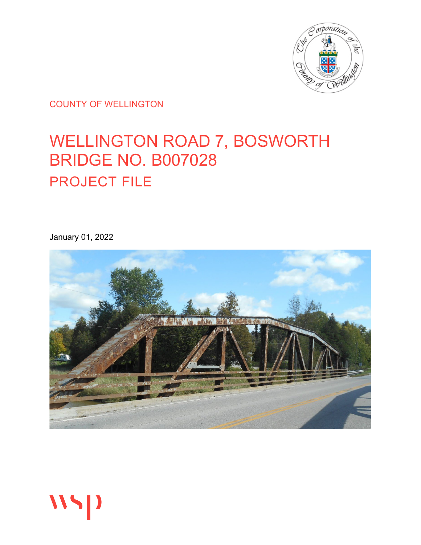

#### COUNTY OF WELLINGTON

# WELLINGTON ROAD 7, BOSWORTH BRIDGE NO. B007028 PROJECT FILE

January 01, 2022



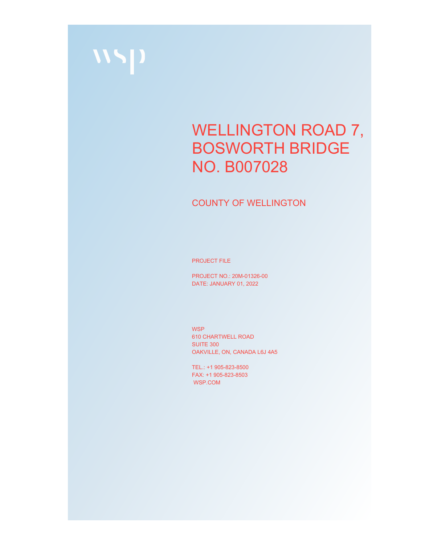

# WELLINGTON ROAD 7, BOSWORTH BRIDGE NO. B007028

#### COUNTY OF WELLINGTON

PROJECT FILE

PROJECT NO.: 20M-01326-00 DATE: JANUARY 01, 2022

**WSP** 610 CHARTWELL ROAD SUITE 300 OAKVILLE, ON, CANADA L6J 4A5

TEL.: +1 905-823-8500 FAX: +1 905-823-8503 WSP.COM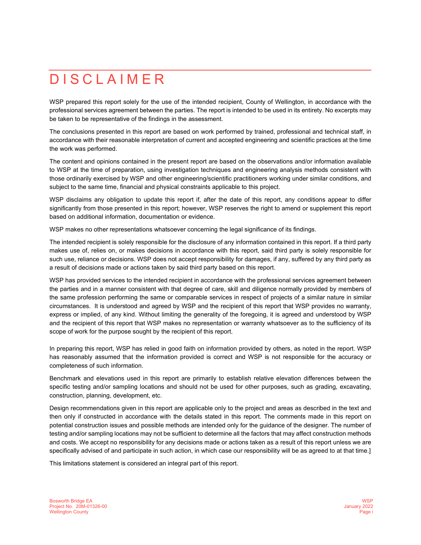# DISCLAIMER

WSP prepared this report solely for the use of the intended recipient, County of Wellington, in accordance with the professional services agreement between the parties. The report is intended to be used in its entirety. No excerpts may be taken to be representative of the findings in the assessment.

The conclusions presented in this report are based on work performed by trained, professional and technical staff, in accordance with their reasonable interpretation of current and accepted engineering and scientific practices at the time the work was performed.

The content and opinions contained in the present report are based on the observations and/or information available to WSP at the time of preparation, using investigation techniques and engineering analysis methods consistent with those ordinarily exercised by WSP and other engineering/scientific practitioners working under similar conditions, and subject to the same time, financial and physical constraints applicable to this project.

WSP disclaims any obligation to update this report if, after the date of this report, any conditions appear to differ significantly from those presented in this report; however, WSP reserves the right to amend or supplement this report based on additional information, documentation or evidence.

WSP makes no other representations whatsoever concerning the legal significance of its findings.

The intended recipient is solely responsible for the disclosure of any information contained in this report. If a third party makes use of, relies on, or makes decisions in accordance with this report, said third party is solely responsible for such use, reliance or decisions. WSP does not accept responsibility for damages, if any, suffered by any third party as a result of decisions made or actions taken by said third party based on this report.

WSP has provided services to the intended recipient in accordance with the professional services agreement between the parties and in a manner consistent with that degree of care, skill and diligence normally provided by members of the same profession performing the same or comparable services in respect of projects of a similar nature in similar circumstances. It is understood and agreed by WSP and the recipient of this report that WSP provides no warranty, express or implied, of any kind. Without limiting the generality of the foregoing, it is agreed and understood by WSP and the recipient of this report that WSP makes no representation or warranty whatsoever as to the sufficiency of its scope of work for the purpose sought by the recipient of this report.

In preparing this report, WSP has relied in good faith on information provided by others, as noted in the report. WSP has reasonably assumed that the information provided is correct and WSP is not responsible for the accuracy or completeness of such information.

Benchmark and elevations used in this report are primarily to establish relative elevation differences between the specific testing and/or sampling locations and should not be used for other purposes, such as grading, excavating, construction, planning, development, etc.

Design recommendations given in this report are applicable only to the project and areas as described in the text and then only if constructed in accordance with the details stated in this report. The comments made in this report on potential construction issues and possible methods are intended only for the guidance of the designer. The number of testing and/or sampling locations may not be sufficient to determine all the factors that may affect construction methods and costs. We accept no responsibility for any decisions made or actions taken as a result of this report unless we are specifically advised of and participate in such action, in which case our responsibility will be as agreed to at that time.]

This limitations statement is considered an integral part of this report.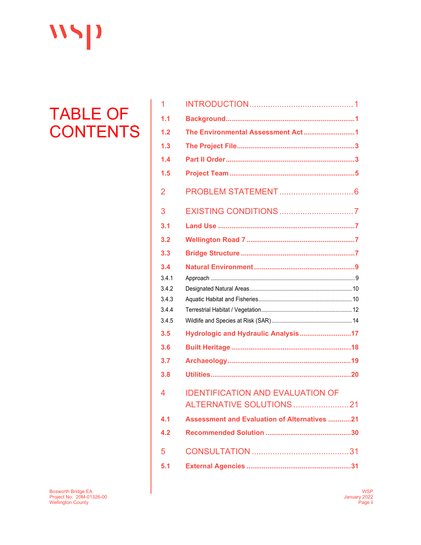# $\frac{1}{\sqrt{2}}$

# TABLE OF **CONTENTS**

| The Environmental Assessment Act1                   |
|-----------------------------------------------------|
|                                                     |
|                                                     |
|                                                     |
|                                                     |
|                                                     |
|                                                     |
|                                                     |
|                                                     |
|                                                     |
|                                                     |
|                                                     |
|                                                     |
|                                                     |
|                                                     |
| Hydrologic and Hydraulic Analysis17                 |
|                                                     |
|                                                     |
|                                                     |
| <b>IDENTIFICATION AND EVALUATION OF</b>             |
| ALTERNATIVE SOLUTIONS 21                            |
| <b>Assessment and Evaluation of Alternatives 21</b> |
|                                                     |
|                                                     |
|                                                     |
|                                                     |

Bosworth Bridge EA Project No. 20M-01326-00 Wellington County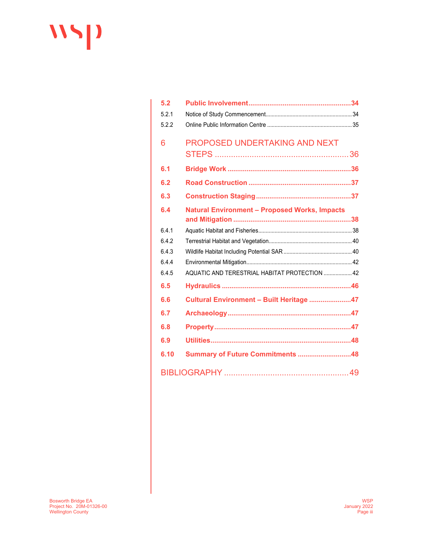# $\frac{1}{2}$

| 5.2   |                                                      |  |
|-------|------------------------------------------------------|--|
| 5.2.1 |                                                      |  |
| 5.2.2 |                                                      |  |
| 6     | PROPOSED UNDERTAKING AND NEXT                        |  |
| 6.1   |                                                      |  |
| 6.2   |                                                      |  |
| 6.3   |                                                      |  |
| 6.4   | <b>Natural Environment - Proposed Works, Impacts</b> |  |
| 6.4.1 |                                                      |  |
| 6.4.2 |                                                      |  |
| 6.4.3 |                                                      |  |
| 6.4.4 |                                                      |  |
| 6.4.5 | AQUATIC AND TERESTRIAL HABITAT PROTECTION  42        |  |
| 6.5   |                                                      |  |
| 6.6   | Cultural Environment - Built Heritage 47             |  |
| 6.7   |                                                      |  |
| 6.8   |                                                      |  |
| 6.9   |                                                      |  |
| 6.10  | Summary of Future Commitments 48                     |  |
|       |                                                      |  |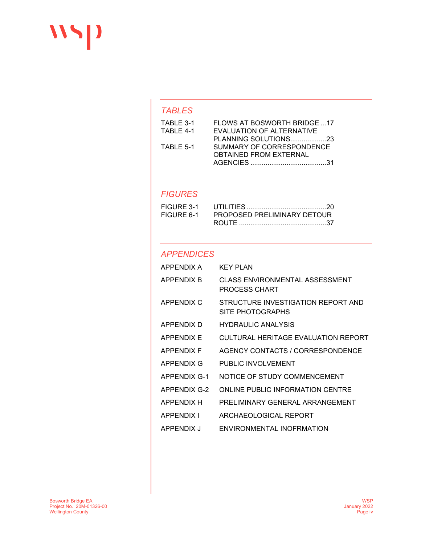# WSP

#### *TABLES*

| TABLE 3-1 | FLOWS AT BOSWORTH BRIDGE 17   |
|-----------|-------------------------------|
| TABLE 4-1 | EVALUATION OF ALTERNATIVE     |
|           | PLANNING SOLUTIONS23          |
| TABLE 5-1 | SUMMARY OF CORRESPONDENCE     |
|           | <b>OBTAINED FROM EXTERNAL</b> |
|           |                               |

#### *FIGURES*

| FIGURE 6-1 PROPOSED PRELIMINARY DETOUR |  |
|----------------------------------------|--|
|                                        |  |

#### *APPENDICES*

| APPENDIX A          | <b>KEY PLAN</b>                                        |
|---------------------|--------------------------------------------------------|
| <b>APPENDIX B</b>   | CLASS ENVIRONMENTAL ASSESSMENT<br>PROCESS CHART        |
| APPENDIX C          | STRUCTURE INVESTIGATION REPORT AND<br>SITE PHOTOGRAPHS |
| <b>APPENDIX D</b>   | <b>HYDRAULIC ANALYSIS</b>                              |
| <b>APPENDIX E</b>   | CULTURAL HERITAGE EVALUATION REPORT                    |
| <b>APPENDIX F</b>   | AGENCY CONTACTS / CORRESPONDENCE                       |
| APPENDIX G          | PUBLIC INVOLVEMENT                                     |
| <b>APPENDIX G-1</b> | NOTICE OF STUDY COMMENCEMENT                           |
| APPENDIX G-2        | <b>ONLINE PUBLIC INFORMATION CENTRE</b>                |
| APPENDIX H          | PRELIMINARY GENERAL ARRANGEMENT                        |
| APPENDIX I          | ARCHAEOLOGICAL REPORT                                  |
| APPENDIX J          | ENVIRONMENTAL INOFRMATION                              |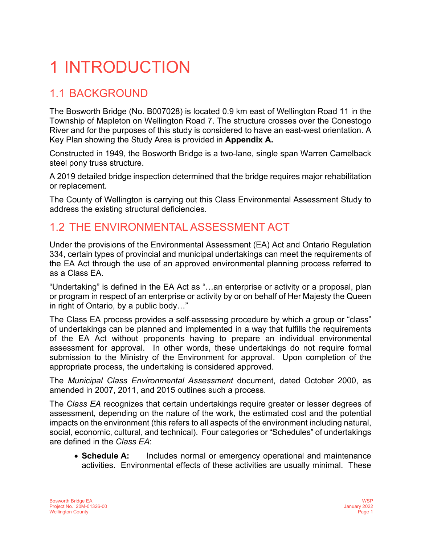# <span id="page-6-0"></span>1 INTRODUCTION

## <span id="page-6-1"></span>1.1 BACKGROUND

The Bosworth Bridge (No. B007028) is located 0.9 km east of Wellington Road 11 in the Township of Mapleton on Wellington Road 7. The structure crosses over the Conestogo River and for the purposes of this study is considered to have an east-west orientation. A Key Plan showing the Study Area is provided in **Appendix A.**

Constructed in 1949, the Bosworth Bridge is a two-lane, single span Warren Camelback steel pony truss structure.

A 2019 detailed bridge inspection determined that the bridge requires major rehabilitation or replacement.

The County of Wellington is carrying out this Class Environmental Assessment Study to address the existing structural deficiencies.

### <span id="page-6-2"></span>1.2 THE ENVIRONMENTAL ASSESSMENT ACT

Under the provisions of the Environmental Assessment (EA) Act and Ontario Regulation 334, certain types of provincial and municipal undertakings can meet the requirements of the EA Act through the use of an approved environmental planning process referred to as a Class EA.

"Undertaking" is defined in the EA Act as "…an enterprise or activity or a proposal, plan or program in respect of an enterprise or activity by or on behalf of Her Majesty the Queen in right of Ontario, by a public body…"

The Class EA process provides a self-assessing procedure by which a group or "class" of undertakings can be planned and implemented in a way that fulfills the requirements of the EA Act without proponents having to prepare an individual environmental assessment for approval. In other words, these undertakings do not require formal submission to the Ministry of the Environment for approval. Upon completion of the appropriate process, the undertaking is considered approved.

The *Municipal Class Environmental Assessment* document, dated October 2000, as amended in 2007, 2011, and 2015 outlines such a process.

The *Class EA* recognizes that certain undertakings require greater or lesser degrees of assessment, depending on the nature of the work, the estimated cost and the potential impacts on the environment (this refers to all aspects of the environment including natural, social, economic, cultural, and technical). Four categories or "Schedules" of undertakings are defined in the *Class EA*:

• **Schedule A:** Includes normal or emergency operational and maintenance activities. Environmental effects of these activities are usually minimal. These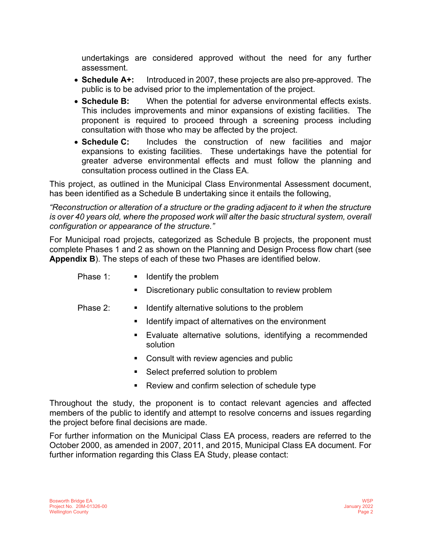undertakings are considered approved without the need for any further assessment.

- **Schedule A+:** Introduced in 2007, these projects are also pre-approved. The public is to be advised prior to the implementation of the project.
- **Schedule B:** When the potential for adverse environmental effects exists. This includes improvements and minor expansions of existing facilities. The proponent is required to proceed through a screening process including consultation with those who may be affected by the project.
- **Schedule C:** Includes the construction of new facilities and major expansions to existing facilities. These undertakings have the potential for greater adverse environmental effects and must follow the planning and consultation process outlined in the Class EA.

This project, as outlined in the Municipal Class Environmental Assessment document, has been identified as a Schedule B undertaking since it entails the following,

*"Reconstruction or alteration of a structure or the grading adjacent to it when the structure is over 40 years old, where the proposed work will alter the basic structural system, overall configuration or appearance of the structure."* 

For Municipal road projects, categorized as Schedule B projects, the proponent must complete Phases 1 and 2 as shown on the Planning and Design Process flow chart (see **Appendix B**). The steps of each of these two Phases are identified below.

- Phase 1: **I** Identify the problem
	- **Discretionary public consultation to review problem**
- Phase 2:  $\blacksquare$  Identify alternative solutions to the problem
	- Identify impact of alternatives on the environment
	- Evaluate alternative solutions, identifying a recommended solution
	- **Consult with review agencies and public**
	- Select preferred solution to problem
	- **Review and confirm selection of schedule type**

Throughout the study, the proponent is to contact relevant agencies and affected members of the public to identify and attempt to resolve concerns and issues regarding the project before final decisions are made.

For further information on the Municipal Class EA process, readers are referred to the October 2000, as amended in 2007, 2011, and 2015, Municipal Class EA document. For further information regarding this Class EA Study, please contact: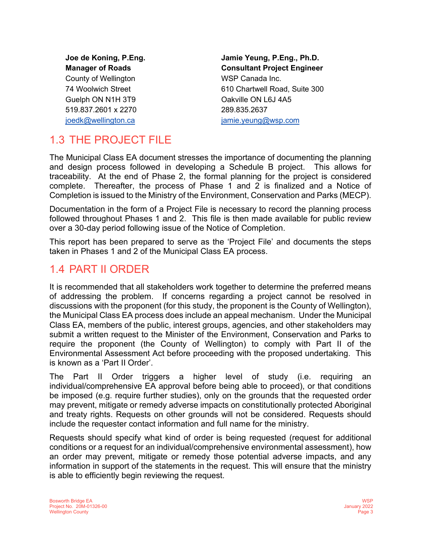**Joe de Koning, P.Eng. Manager of Roads** County of Wellington 74 Woolwich Street Guelph ON N1H 3T9 519.837.2601 x 2270 [joedk@wellington.ca](mailto:joedk@wellington.ca)

**Jamie Yeung, P.Eng., Ph.D. Consultant Project Engineer** WSP Canada Inc. 610 Chartwell Road, Suite 300 Oakville ON L6J 4A5 289.835.2637 [jamie.yeung@wsp.com](mailto:jamie.yeung@wsp.com)

# <span id="page-8-0"></span>1.3 THE PROJECT FILE

The Municipal Class EA document stresses the importance of documenting the planning and design process followed in developing a Schedule B project. This allows for traceability. At the end of Phase 2, the formal planning for the project is considered complete. Thereafter, the process of Phase 1 and 2 is finalized and a Notice of Completion is issued to the Ministry of the Environment, Conservation and Parks (MECP).

Documentation in the form of a Project File is necessary to record the planning process followed throughout Phases 1 and 2. This file is then made available for public review over a 30-day period following issue of the Notice of Completion.

This report has been prepared to serve as the 'Project File' and documents the steps taken in Phases 1 and 2 of the Municipal Class EA process.

### <span id="page-8-1"></span>1.4 PART II ORDER

It is recommended that all stakeholders work together to determine the preferred means of addressing the problem. If concerns regarding a project cannot be resolved in discussions with the proponent (for this study, the proponent is the County of Wellington), the Municipal Class EA process does include an appeal mechanism. Under the Municipal Class EA, members of the public, interest groups, agencies, and other stakeholders may submit a written request to the Minister of the Environment, Conservation and Parks to require the proponent (the County of Wellington) to comply with Part II of the Environmental Assessment Act before proceeding with the proposed undertaking. This is known as a 'Part II Order'.

The Part II Order triggers a higher level of study (i.e. requiring an individual/comprehensive EA approval before being able to proceed), or that conditions be imposed (e.g. require further studies), only on the grounds that the requested order may prevent, mitigate or remedy adverse impacts on constitutionally protected Aboriginal and treaty rights. Requests on other grounds will not be considered. Requests should include the requester contact information and full name for the ministry.

Requests should specify what kind of order is being requested (request for additional conditions or a request for an individual/comprehensive environmental assessment), how an order may prevent, mitigate or remedy those potential adverse impacts, and any information in support of the statements in the request. This will ensure that the ministry is able to efficiently begin reviewing the request.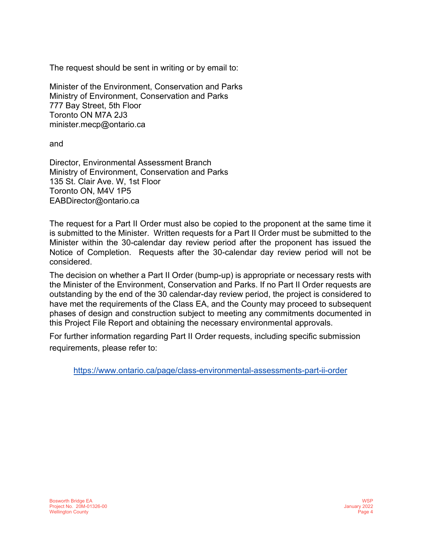The request should be sent in writing or by email to:

Minister of the Environment, Conservation and Parks Ministry of Environment, Conservation and Parks 777 Bay Street, 5th Floor Toronto ON M7A 2J3 minister.mecp@ontario.ca

and

Director, Environmental Assessment Branch Ministry of Environment, Conservation and Parks 135 St. Clair Ave. W, 1st Floor Toronto ON, M4V 1P5 EABDirector@ontario.ca

The request for a Part II Order must also be copied to the proponent at the same time it is submitted to the Minister. Written requests for a Part II Order must be submitted to the Minister within the 30-calendar day review period after the proponent has issued the Notice of Completion. Requests after the 30-calendar day review period will not be considered.

The decision on whether a Part II Order (bump-up) is appropriate or necessary rests with the Minister of the Environment, Conservation and Parks. If no Part II Order requests are outstanding by the end of the 30 calendar-day review period, the project is considered to have met the requirements of the Class EA, and the County may proceed to subsequent phases of design and construction subject to meeting any commitments documented in this Project File Report and obtaining the necessary environmental approvals.

For further information regarding Part II Order requests, including specific submission requirements, please refer to:

<https://www.ontario.ca/page/class-environmental-assessments-part-ii-order>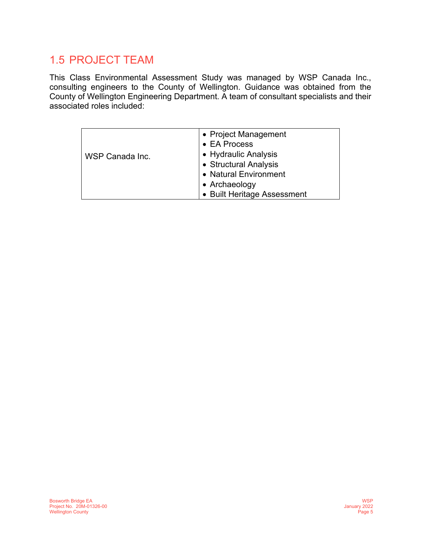### <span id="page-10-0"></span>1.5 PROJECT TEAM

This Class Environmental Assessment Study was managed by WSP Canada Inc., consulting engineers to the County of Wellington. Guidance was obtained from the County of Wellington Engineering Department. A team of consultant specialists and their associated roles included:

|                 | • Project Management        |
|-----------------|-----------------------------|
|                 | • EA Process                |
| WSP Canada Inc. | • Hydraulic Analysis        |
|                 | • Structural Analysis       |
|                 | • Natural Environment       |
|                 | • Archaeology               |
|                 | • Built Heritage Assessment |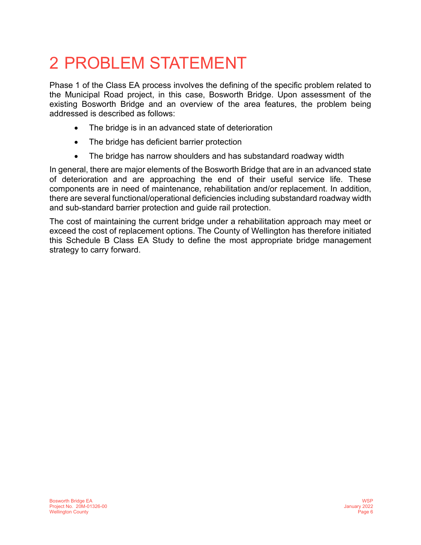# <span id="page-11-0"></span>2 PROBLEM STATEMENT

Phase 1 of the Class EA process involves the defining of the specific problem related to the Municipal Road project, in this case, Bosworth Bridge. Upon assessment of the existing Bosworth Bridge and an overview of the area features, the problem being addressed is described as follows:

- The bridge is in an advanced state of deterioration
- The bridge has deficient barrier protection
- The bridge has narrow shoulders and has substandard roadway width

In general, there are major elements of the Bosworth Bridge that are in an advanced state of deterioration and are approaching the end of their useful service life. These components are in need of maintenance, rehabilitation and/or replacement. In addition, there are several functional/operational deficiencies including substandard roadway width and sub-standard barrier protection and guide rail protection.

The cost of maintaining the current bridge under a rehabilitation approach may meet or exceed the cost of replacement options. The County of Wellington has therefore initiated this Schedule B Class EA Study to define the most appropriate bridge management strategy to carry forward.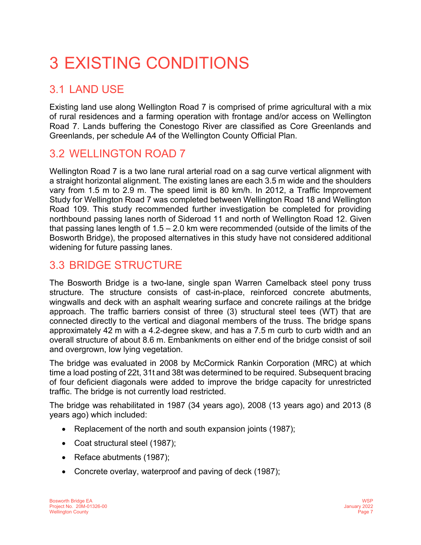# <span id="page-12-0"></span>3 EXISTING CONDITIONS

# <span id="page-12-1"></span>3.1 LAND USE

Existing land use along Wellington Road 7 is comprised of prime agricultural with a mix of rural residences and a farming operation with frontage and/or access on Wellington Road 7. Lands buffering the Conestogo River are classified as Core Greenlands and Greenlands, per schedule A4 of the Wellington County Official Plan.

### <span id="page-12-2"></span>3.2 WELLINGTON ROAD 7

Wellington Road 7 is a two lane rural arterial road on a sag curve vertical alignment with a straight horizontal alignment. The existing lanes are each 3.5 m wide and the shoulders vary from 1.5 m to 2.9 m. The speed limit is 80 km/h. In 2012, a Traffic Improvement Study for Wellington Road 7 was completed between Wellington Road 18 and Wellington Road 109. This study recommended further investigation be completed for providing northbound passing lanes north of Sideroad 11 and north of Wellington Road 12. Given that passing lanes length of  $1.5 - 2.0$  km were recommended (outside of the limits of the Bosworth Bridge), the proposed alternatives in this study have not considered additional widening for future passing lanes.

### <span id="page-12-3"></span>3.3 BRIDGE STRUCTURE

The Bosworth Bridge is a two-lane, single span Warren Camelback steel pony truss structure. The structure consists of cast-in-place, reinforced concrete abutments, wingwalls and deck with an asphalt wearing surface and concrete railings at the bridge approach. The traffic barriers consist of three (3) structural steel tees (WT) that are connected directly to the vertical and diagonal members of the truss. The bridge spans approximately 42 m with a 4.2-degree skew, and has a 7.5 m curb to curb width and an overall structure of about 8.6 m. Embankments on either end of the bridge consist of soil and overgrown, low lying vegetation.

The bridge was evaluated in 2008 by McCormick Rankin Corporation (MRC) at which time a load posting of 22t, 31t and 38t was determined to be required. Subsequent bracing of four deficient diagonals were added to improve the bridge capacity for unrestricted traffic. The bridge is not currently load restricted.

The bridge was rehabilitated in 1987 (34 years ago), 2008 (13 years ago) and 2013 (8 years ago) which included:

- Replacement of the north and south expansion joints (1987);
- Coat structural steel (1987);
- Reface abutments (1987);
- Concrete overlay, waterproof and paving of deck (1987);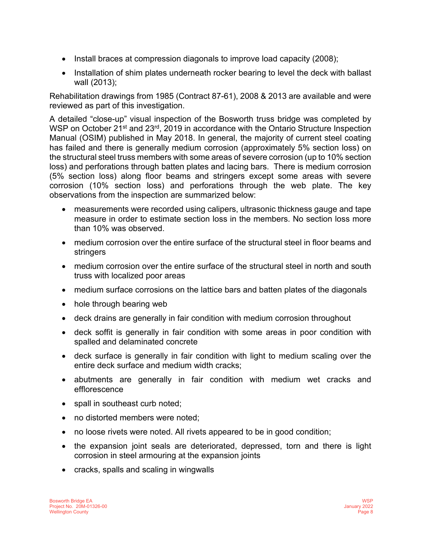- Install braces at compression diagonals to improve load capacity (2008);
- Installation of shim plates underneath rocker bearing to level the deck with ballast wall (2013);

Rehabilitation drawings from 1985 (Contract 87-61), 2008 & 2013 are available and were reviewed as part of this investigation.

A detailed "close-up" visual inspection of the Bosworth truss bridge was completed by WSP on October 21<sup>st</sup> and 23<sup>rd</sup>, 2019 in accordance with the Ontario Structure Inspection Manual (OSIM) published in May 2018. In general, the majority of current steel coating has failed and there is generally medium corrosion (approximately 5% section loss) on the structural steel truss members with some areas of severe corrosion (up to 10% section loss) and perforations through batten plates and lacing bars. There is medium corrosion (5% section loss) along floor beams and stringers except some areas with severe corrosion (10% section loss) and perforations through the web plate. The key observations from the inspection are summarized below:

- measurements were recorded using calipers, ultrasonic thickness gauge and tape measure in order to estimate section loss in the members. No section loss more than 10% was observed.
- medium corrosion over the entire surface of the structural steel in floor beams and stringers
- medium corrosion over the entire surface of the structural steel in north and south truss with localized poor areas
- medium surface corrosions on the lattice bars and batten plates of the diagonals
- hole through bearing web
- deck drains are generally in fair condition with medium corrosion throughout
- deck soffit is generally in fair condition with some areas in poor condition with spalled and delaminated concrete
- deck surface is generally in fair condition with light to medium scaling over the entire deck surface and medium width cracks;
- abutments are generally in fair condition with medium wet cracks and efflorescence
- spall in southeast curb noted;
- no distorted members were noted;
- no loose rivets were noted. All rivets appeared to be in good condition;
- the expansion joint seals are deteriorated, depressed, torn and there is light corrosion in steel armouring at the expansion joints
- cracks, spalls and scaling in wingwalls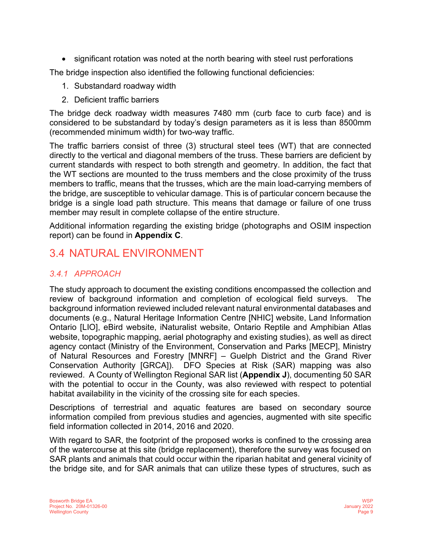• significant rotation was noted at the north bearing with steel rust perforations

The bridge inspection also identified the following functional deficiencies:

- 1. Substandard roadway width
- 2. Deficient traffic barriers

The bridge deck roadway width measures 7480 mm (curb face to curb face) and is considered to be substandard by today's design parameters as it is less than 8500mm (recommended minimum width) for two-way traffic.

The traffic barriers consist of three (3) structural steel tees (WT) that are connected directly to the vertical and diagonal members of the truss. These barriers are deficient by current standards with respect to both strength and geometry. In addition, the fact that the WT sections are mounted to the truss members and the close proximity of the truss members to traffic, means that the trusses, which are the main load-carrying members of the bridge, are susceptible to vehicular damage. This is of particular concern because the bridge is a single load path structure. This means that damage or failure of one truss member may result in complete collapse of the entire structure.

Additional information regarding the existing bridge (photographs and OSIM inspection report) can be found in **Appendix C**.

### <span id="page-14-0"></span>3.4 NATURAL ENVIRONMENT

#### <span id="page-14-1"></span>*3.4.1 APPROACH*

The study approach to document the existing conditions encompassed the collection and review of background information and completion of ecological field surveys. The background information reviewed included relevant natural environmental databases and documents (e.g., Natural Heritage Information Centre [NHIC] website, Land Information Ontario [LIO], eBird website, iNaturalist website, Ontario Reptile and Amphibian Atlas website, topographic mapping, aerial photography and existing studies), as well as direct agency contact (Ministry of the Environment, Conservation and Parks [MECP], Ministry of Natural Resources and Forestry [MNRF] – Guelph District and the Grand River Conservation Authority [GRCA]). DFO Species at Risk (SAR) mapping was also reviewed. A County of Wellington Regional SAR list (**Appendix J**), documenting 50 SAR with the potential to occur in the County, was also reviewed with respect to potential habitat availability in the vicinity of the crossing site for each species.

Descriptions of terrestrial and aquatic features are based on secondary source information compiled from previous studies and agencies, augmented with site specific field information collected in 2014, 2016 and 2020.

With regard to SAR, the footprint of the proposed works is confined to the crossing area of the watercourse at this site (bridge replacement), therefore the survey was focused on SAR plants and animals that could occur within the riparian habitat and general vicinity of the bridge site, and for SAR animals that can utilize these types of structures, such as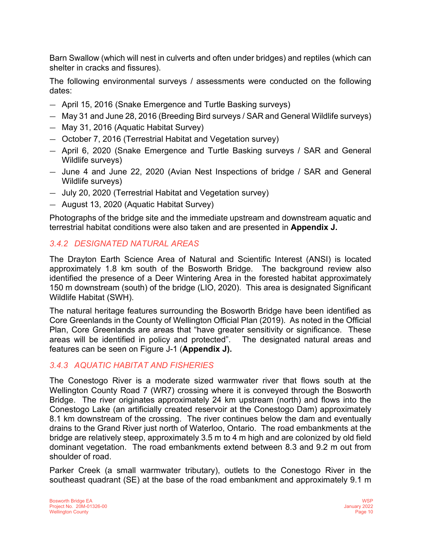Barn Swallow (which will nest in culverts and often under bridges) and reptiles (which can shelter in cracks and fissures).

The following environmental surveys / assessments were conducted on the following dates:

- April 15, 2016 (Snake Emergence and Turtle Basking surveys)
- May 31 and June 28, 2016 (Breeding Bird surveys / SAR and General Wildlife surveys)
- May 31, 2016 (Aquatic Habitat Survey)
- October 7, 2016 (Terrestrial Habitat and Vegetation survey)
- April 6, 2020 (Snake Emergence and Turtle Basking surveys / SAR and General Wildlife surveys)
- June 4 and June 22, 2020 (Avian Nest Inspections of bridge / SAR and General Wildlife surveys)
- July 20, 2020 (Terrestrial Habitat and Vegetation survey)
- August 13, 2020 (Aquatic Habitat Survey)

Photographs of the bridge site and the immediate upstream and downstream aquatic and terrestrial habitat conditions were also taken and are presented in **Appendix J.**

#### <span id="page-15-0"></span>*3.4.2 DESIGNATED NATURAL AREAS*

The Drayton Earth Science Area of Natural and Scientific Interest (ANSI) is located approximately 1.8 km south of the Bosworth Bridge. The background review also identified the presence of a Deer Wintering Area in the forested habitat approximately 150 m downstream (south) of the bridge (LIO, 2020). This area is designated Significant Wildlife Habitat (SWH).

The natural heritage features surrounding the Bosworth Bridge have been identified as Core Greenlands in the County of Wellington Official Plan (2019). As noted in the Official Plan, Core Greenlands are areas that "have greater sensitivity or significance. These areas will be identified in policy and protected". The designated natural areas and features can be seen on Figure J-1 (**Appendix J).**

#### <span id="page-15-1"></span>*3.4.3 AQUATIC HABITAT AND FISHERIES*

The Conestogo River is a moderate sized warmwater river that flows south at the Wellington County Road 7 (WR7) crossing where it is conveyed through the Bosworth Bridge. The river originates approximately 24 km upstream (north) and flows into the Conestogo Lake (an artificially created reservoir at the Conestogo Dam) approximately 8.1 km downstream of the crossing. The river continues below the dam and eventually drains to the Grand River just north of Waterloo, Ontario. The road embankments at the bridge are relatively steep, approximately 3.5 m to 4 m high and are colonized by old field dominant vegetation. The road embankments extend between 8.3 and 9.2 m out from shoulder of road.

Parker Creek (a small warmwater tributary), outlets to the Conestogo River in the southeast quadrant (SE) at the base of the road embankment and approximately 9.1 m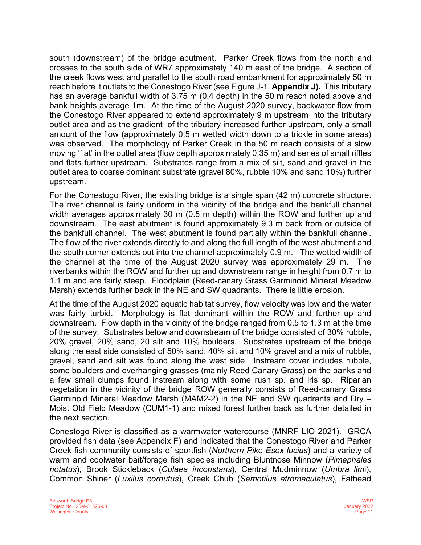south (downstream) of the bridge abutment. Parker Creek flows from the north and crosses to the south side of WR7 approximately 140 m east of the bridge. A section of the creek flows west and parallel to the south road embankment for approximately 50 m reach before it outlets to the Conestogo River (see Figure J-1, **Appendix J).** This tributary has an average bankfull width of 3.75 m (0.4 depth) in the 50 m reach noted above and bank heights average 1m. At the time of the August 2020 survey, backwater flow from the Conestogo River appeared to extend approximately 9 m upstream into the tributary outlet area and as the gradient of the tributary increased further upstream, only a small amount of the flow (approximately 0.5 m wetted width down to a trickle in some areas) was observed. The morphology of Parker Creek in the 50 m reach consists of a slow moving 'flat' in the outlet area (flow depth approximately 0.35 m) and series of small riffles and flats further upstream. Substrates range from a mix of silt, sand and gravel in the outlet area to coarse dominant substrate (gravel 80%, rubble 10% and sand 10%) further upstream.

For the Conestogo River, the existing bridge is a single span (42 m) concrete structure. The river channel is fairly uniform in the vicinity of the bridge and the bankfull channel width averages approximately 30 m (0.5 m depth) within the ROW and further up and downstream. The east abutment is found approximately 9.3 m back from or outside of the bankfull channel. The west abutment is found partially within the bankfull channel. The flow of the river extends directly to and along the full length of the west abutment and the south corner extends out into the channel approximately 0.9 m. The wetted width of the channel at the time of the August 2020 survey was approximately 29 m. The riverbanks within the ROW and further up and downstream range in height from 0.7 m to 1.1 m and are fairly steep. Floodplain (Reed-canary Grass Garminoid Mineral Meadow Marsh) extends further back in the NE and SW quadrants. There is little erosion.

At the time of the August 2020 aquatic habitat survey, flow velocity was low and the water was fairly turbid. Morphology is flat dominant within the ROW and further up and downstream. Flow depth in the vicinity of the bridge ranged from 0.5 to 1.3 m at the time of the survey. Substrates below and downstream of the bridge consisted of 30% rubble, 20% gravel, 20% sand, 20 silt and 10% boulders. Substrates upstream of the bridge along the east side consisted of 50% sand, 40% silt and 10% gravel and a mix of rubble, gravel, sand and silt was found along the west side. Instream cover includes rubble, some boulders and overhanging grasses (mainly Reed Canary Grass) on the banks and a few small clumps found instream along with some rush sp. and iris sp. Riparian vegetation in the vicinity of the bridge ROW generally consists of Reed-canary Grass Garminoid Mineral Meadow Marsh (MAM2-2) in the NE and SW quadrants and Dry – Moist Old Field Meadow (CUM1-1) and mixed forest further back as further detailed in the next section.

Conestogo River is classified as a warmwater watercourse (MNRF LIO 2021). GRCA provided fish data (see Appendix F) and indicated that the Conestogo River and Parker Creek fish community consists of sportfish (*Northern Pike Esox lucius*) and a variety of warm and coolwater bait/forage fish species including Bluntnose Minnow (*Pimephales notatus*), Brook Stickleback (*Culaea inconstans*), Central Mudminnow (*Umbra lim*i), Common Shiner (*Luxilus cornutus*), Creek Chub (*Semotilus atromaculatus*), Fathead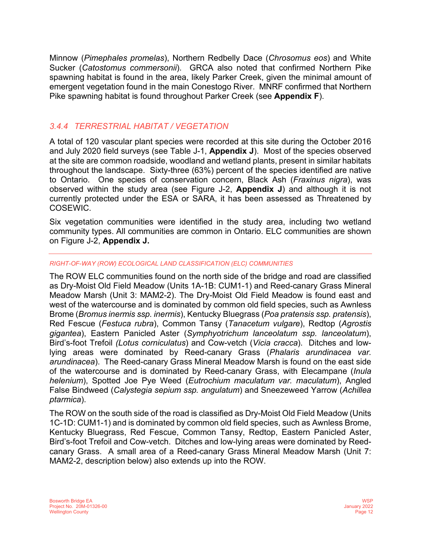Minnow (*Pimephales promelas*), Northern Redbelly Dace (*Chrosomus eos*) and White Sucker (*Catostomus commersonii*). GRCA also noted that confirmed Northern Pike spawning habitat is found in the area, likely Parker Creek, given the minimal amount of emergent vegetation found in the main Conestogo River. MNRF confirmed that Northern Pike spawning habitat is found throughout Parker Creek (see **Appendix F**).

#### <span id="page-17-0"></span>*3.4.4 TERRESTRIAL HABITAT / VEGETATION*

A total of 120 vascular plant species were recorded at this site during the October 2016 and July 2020 field surveys (see Table J-1, **Appendix J**). Most of the species observed at the site are common roadside, woodland and wetland plants, present in similar habitats throughout the landscape. Sixty-three (63%) percent of the species identified are native to Ontario. One species of conservation concern, Black Ash (*Fraxinus nigra*), was observed within the study area (see Figure J-2, **Appendix J**) and although it is not currently protected under the ESA or SARA, it has been assessed as Threatened by COSEWIC.

Six vegetation communities were identified in the study area, including two wetland community types. All communities are common in Ontario. ELC communities are shown on Figure J-2, **Appendix J.**

#### *RIGHT-OF-WAY (ROW) ECOLOGICAL LAND CLASSIFICATION (ELC) COMMUNITIES*

The ROW ELC communities found on the north side of the bridge and road are classified as Dry-Moist Old Field Meadow (Units 1A-1B: CUM1-1) and Reed-canary Grass Mineral Meadow Marsh (Unit 3: MAM2-2). The Dry-Moist Old Field Meadow is found east and west of the watercourse and is dominated by common old field species, such as Awnless Brome (*Bromus inermis ssp. inermis*), Kentucky Bluegrass (*Poa pratensis ssp. pratensis*), Red Fescue (*Festuca rubra*), Common Tansy (*Tanacetum vulgare*), Redtop (*Agrostis gigantea*), Eastern Panicled Aster (*Symphyotrichum lanceolatum ssp. lanceolatum*), Bird's-foot Trefoil *(Lotus corniculatus*) and Cow-vetch (*Vicia cracca*). Ditches and lowlying areas were dominated by Reed-canary Grass (*Phalaris arundinacea var. arundinacea*). The Reed-canary Grass Mineral Meadow Marsh is found on the east side of the watercourse and is dominated by Reed-canary Grass, with Elecampane (*Inula helenium*), Spotted Joe Pye Weed (*Eutrochium maculatum var. maculatum*), Angled False Bindweed (*Calystegia sepium ssp. angulatum*) and Sneezeweed Yarrow (*Achillea ptarmica*).

The ROW on the south side of the road is classified as Dry-Moist Old Field Meadow (Units 1C-1D: CUM1-1) and is dominated by common old field species, such as Awnless Brome, Kentucky Bluegrass, Red Fescue, Common Tansy, Redtop, Eastern Panicled Aster, Bird's-foot Trefoil and Cow-vetch. Ditches and low-lying areas were dominated by Reedcanary Grass. A small area of a Reed-canary Grass Mineral Meadow Marsh (Unit 7: MAM2-2, description below) also extends up into the ROW.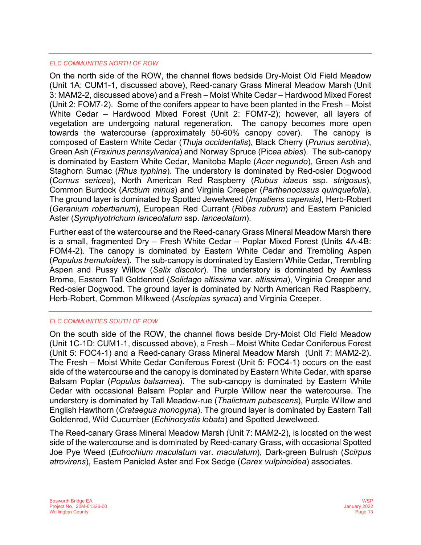#### *ELC COMMUNITIES NORTH OF ROW*

On the north side of the ROW, the channel flows bedside Dry-Moist Old Field Meadow (Unit 1A: CUM1-1, discussed above), Reed-canary Grass Mineral Meadow Marsh (Unit 3: MAM2-2, discussed above) and a Fresh – Moist White Cedar – Hardwood Mixed Forest (Unit 2: FOM7-2). Some of the conifers appear to have been planted in the Fresh – Moist White Cedar – Hardwood Mixed Forest (Unit 2: FOM7-2); however, all layers of vegetation are undergoing natural regeneration. The canopy becomes more open towards the watercourse (approximately 50-60% canopy cover). The canopy is composed of Eastern White Cedar (*Thuja occidentalis*), Black Cherry (*Prunus serotina*), Green Ash (*Fraxinus pennsylvanica*) and Norway Spruce (Pic*ea abies*). The sub-canopy is dominated by Eastern White Cedar, Manitoba Maple (*Acer negundo*), Green Ash and Staghorn Sumac (*Rhus typhina*). The understory is dominated by Red-osier Dogwood (*Cornus sericea*), North American Red Raspberry (*Rubus idaeus* ssp. *strigosus*), Common Burdock (*Arctium minus*) and Virginia Creeper (*Parthenocissus quinquefolia*). The ground layer is dominated by Spotted Jewelweed (*Impatiens capensis),* Herb-Robert (*Geranium robertianum*), European Red Currant (*Ribes rubrum*) and Eastern Panicled Aster (*Symphyotrichum lanceolatum* ssp. *lanceolatum*).

Further east of the watercourse and the Reed-canary Grass Mineral Meadow Marsh there is a small, fragmented Dry – Fresh White Cedar – Poplar Mixed Forest (Units 4A-4B: FOM4-2). The canopy is dominated by Eastern White Cedar and Trembling Aspen (*Populus tremuloides*). The sub-canopy is dominated by Eastern White Cedar, Trembling Aspen and Pussy Willow (*Salix discolor*). The understory is dominated by Awnless Brome, Eastern Tall Goldenrod (*Solidago altissima* var. *altissima*), Virginia Creeper and Red-osier Dogwood. The ground layer is dominated by North American Red Raspberry, Herb-Robert, Common Milkweed (*Asclepias syriaca*) and Virginia Creeper.

#### *ELC COMMUNITIES SOUTH OF ROW*

On the south side of the ROW, the channel flows beside Dry-Moist Old Field Meadow (Unit 1C-1D: CUM1-1, discussed above), a Fresh – Moist White Cedar Coniferous Forest (Unit 5: FOC4-1) and a Reed-canary Grass Mineral Meadow Marsh (Unit 7: MAM2-2). The Fresh – Moist White Cedar Coniferous Forest (Unit 5: FOC4-1) occurs on the east side of the watercourse and the canopy is dominated by Eastern White Cedar, with sparse Balsam Poplar (*Populus balsamea*). The sub-canopy is dominated by Eastern White Cedar with occasional Balsam Poplar and Purple Willow near the watercourse. The understory is dominated by Tall Meadow-rue (*Thalictrum pubescens*), Purple Willow and English Hawthorn (*Crataegus monogyna*). The ground layer is dominated by Eastern Tall Goldenrod, Wild Cucumber (*Echinocystis lobata*) and Spotted Jewelweed.

The Reed-canary Grass Mineral Meadow Marsh (Unit 7: MAM2-2), is located on the west side of the watercourse and is dominated by Reed-canary Grass, with occasional Spotted Joe Pye Weed (*Eutrochium maculatum* var. *maculatum*), Dark-green Bulrush (*Scirpus atrovirens*), Eastern Panicled Aster and Fox Sedge (*Carex vulpinoidea*) associates.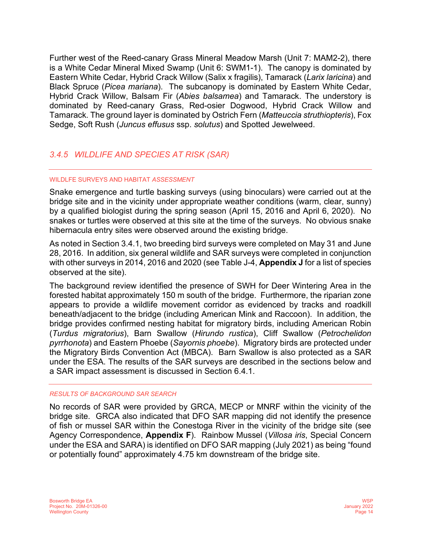Further west of the Reed-canary Grass Mineral Meadow Marsh (Unit 7: MAM2-2), there is a White Cedar Mineral Mixed Swamp (Unit 6: SWM1-1). The canopy is dominated by Eastern White Cedar, Hybrid Crack Willow (Salix x fragilis), Tamarack (*Larix laricina*) and Black Spruce (*Picea mariana*). The subcanopy is dominated by Eastern White Cedar, Hybrid Crack Willow, Balsam Fir (*Abies balsamea*) and Tamarack. The understory is dominated by Reed-canary Grass, Red-osier Dogwood, Hybrid Crack Willow and Tamarack. The ground layer is dominated by Ostrich Fern (*Matteuccia struthiopteris*), Fox Sedge, Soft Rush (*Juncus effusus* ssp. *solutus*) and Spotted Jewelweed.

#### <span id="page-19-0"></span>*3.4.5 WILDLIFE AND SPECIES AT RISK (SAR)*

#### WILDLFE SURVEYS AND HABITAT *ASSESSMENT*

Snake emergence and turtle basking surveys (using binoculars) were carried out at the bridge site and in the vicinity under appropriate weather conditions (warm, clear, sunny) by a qualified biologist during the spring season (April 15, 2016 and April 6, 2020). No snakes or turtles were observed at this site at the time of the surveys. No obvious snake hibernacula entry sites were observed around the existing bridge.

As noted in Section 3.4.1, two breeding bird surveys were completed on May 31 and June 28, 2016. In addition, six general wildlife and SAR surveys were completed in conjunction with other surveys in 2014, 2016 and 2020 (see Table J-4, **Appendix J** for a list of species observed at the site).

The background review identified the presence of SWH for Deer Wintering Area in the forested habitat approximately 150 m south of the bridge. Furthermore, the riparian zone appears to provide a wildlife movement corridor as evidenced by tracks and roadkill beneath/adjacent to the bridge (including American Mink and Raccoon). In addition, the bridge provides confirmed nesting habitat for migratory birds, including American Robin (*Turdus migratorius*), Barn Swallow (*Hirundo rustica*), Cliff Swallow (*Petrochelidon pyrrhonota*) and Eastern Phoebe (*Sayornis phoebe*). Migratory birds are protected under the Migratory Birds Convention Act (MBCA). Barn Swallow is also protected as a SAR under the ESA. The results of the SAR surveys are described in the sections below and a SAR impact assessment is discussed in Section 6.4.1.

#### *RESULTS OF BACKGROUND SAR SEARCH*

No records of SAR were provided by GRCA, MECP or MNRF within the vicinity of the bridge site. GRCA also indicated that DFO SAR mapping did not identify the presence of fish or mussel SAR within the Conestoga River in the vicinity of the bridge site (see Agency Correspondence, **Appendix F**). Rainbow Mussel (*Villosa iris*, Special Concern under the ESA and SARA) is identified on DFO SAR mapping (July 2021) as being "found or potentially found" approximately 4.75 km downstream of the bridge site.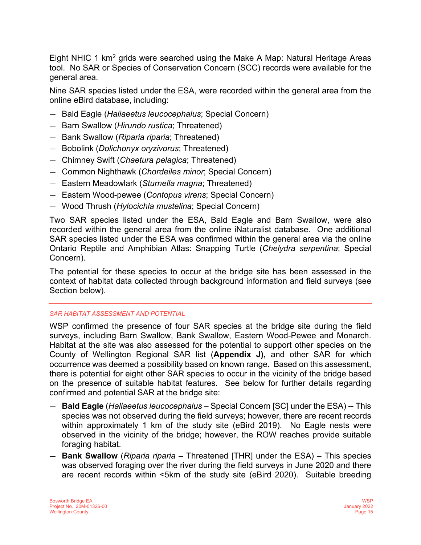Eight NHIC 1 km<sup>2</sup> grids were searched using the Make A Map: Natural Heritage Areas tool. No SAR or Species of Conservation Concern (SCC) records were available for the general area.

Nine SAR species listed under the ESA, were recorded within the general area from the online eBird database, including:

- Bald Eagle (*Haliaeetus leucocephalus*; Special Concern)
- Barn Swallow (*Hirundo rustica*; Threatened)
- Bank Swallow (*Riparia riparia*; Threatened)
- Bobolink (*Dolichonyx oryzivorus*; Threatened)
- Chimney Swift (*Chaetura pelagica*; Threatened)
- Common Nighthawk (*Chordeiles minor*; Special Concern)
- Eastern Meadowlark (*Sturnella magna*; Threatened)
- Eastern Wood-pewee (*Contopus virens*; Special Concern)
- Wood Thrush (*Hylocichla mustelina*; Special Concern)

Two SAR species listed under the ESA, Bald Eagle and Barn Swallow, were also recorded within the general area from the online iNaturalist database. One additional SAR species listed under the ESA was confirmed within the general area via the online Ontario Reptile and Amphibian Atlas: Snapping Turtle (*Chelydra serpentina*; Special Concern).

The potential for these species to occur at the bridge site has been assessed in the context of habitat data collected through background information and field surveys (see Section below).

#### *SAR HABITAT ASSESSMENT AND POTENTIAL*

WSP confirmed the presence of four SAR species at the bridge site during the field surveys, including Barn Swallow, Bank Swallow, Eastern Wood-Pewee and Monarch. Habitat at the site was also assessed for the potential to support other species on the County of Wellington Regional SAR list (**Appendix J),** and other SAR for which occurrence was deemed a possibility based on known range. Based on this assessment, there is potential for eight other SAR species to occur in the vicinity of the bridge based on the presence of suitable habitat features. See below for further details regarding confirmed and potential SAR at the bridge site:

- **Bald Eagle** (*Haliaeetus leucocephalus* Special Concern [SC] under the ESA) -- This species was not observed during the field surveys; however, there are recent records within approximately 1 km of the study site (eBird 2019). No Eagle nests were observed in the vicinity of the bridge; however, the ROW reaches provide suitable foraging habitat.
- **Bank Swallow** (*Riparia riparia* Threatened [THR] under the ESA) This species was observed foraging over the river during the field surveys in June 2020 and there are recent records within <5km of the study site (eBird 2020). Suitable breeding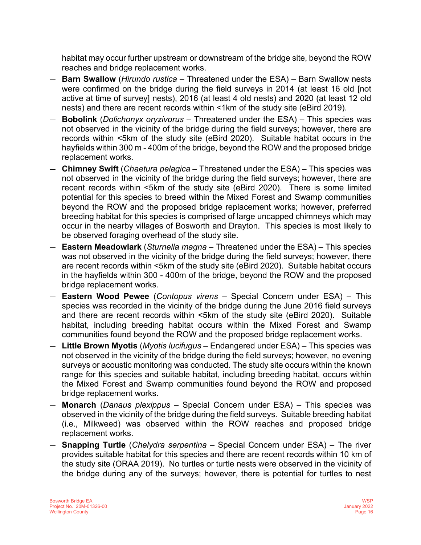habitat may occur further upstream or downstream of the bridge site, beyond the ROW reaches and bridge replacement works.

- **Barn Swallow** (*Hirundo rustica* Threatened under the ESA) Barn Swallow nests were confirmed on the bridge during the field surveys in 2014 (at least 16 old [not active at time of survey] nests), 2016 (at least 4 old nests) and 2020 (at least 12 old nests) and there are recent records within <1km of the study site (eBird 2019).
- **Bobolink** (*Dolichonyx oryzivorus* Threatened under the ESA) This species was not observed in the vicinity of the bridge during the field surveys; however, there are records within <5km of the study site (eBird 2020). Suitable habitat occurs in the hayfields within 300 m - 400m of the bridge, beyond the ROW and the proposed bridge replacement works.
- **Chimney Swift** (*Chaetura pelagica* Threatened under the ESA) This species was not observed in the vicinity of the bridge during the field surveys; however, there are recent records within <5km of the study site (eBird 2020). There is some limited potential for this species to breed within the Mixed Forest and Swamp communities beyond the ROW and the proposed bridge replacement works; however, preferred breeding habitat for this species is comprised of large uncapped chimneys which may occur in the nearby villages of Bosworth and Drayton. This species is most likely to be observed foraging overhead of the study site.
- **Eastern Meadowlark** (*Sturnella magna* Threatened under the ESA) This species was not observed in the vicinity of the bridge during the field surveys; however, there are recent records within <5km of the study site (eBird 2020). Suitable habitat occurs in the hayfields within 300 - 400m of the bridge, beyond the ROW and the proposed bridge replacement works.
- **Eastern Wood Pewee** (*Contopus virens* Special Concern under ESA) This species was recorded in the vicinity of the bridge during the June 2016 field surveys and there are recent records within <5km of the study site (eBird 2020). Suitable habitat, including breeding habitat occurs within the Mixed Forest and Swamp communities found beyond the ROW and the proposed bridge replacement works.
- **Little Brown Myotis** (*Myotis lucifugus* Endangered under ESA) This species was not observed in the vicinity of the bridge during the field surveys; however, no evening surveys or acoustic monitoring was conducted. The study site occurs within the known range for this species and suitable habitat, including breeding habitat, occurs within the Mixed Forest and Swamp communities found beyond the ROW and proposed bridge replacement works.
- **Monarch** (*Danaus plexippus* Special Concern under ESA) This species was observed in the vicinity of the bridge during the field surveys. Suitable breeding habitat (i.e., Milkweed) was observed within the ROW reaches and proposed bridge replacement works.
- **Snapping Turtle** (*Chelydra serpentina* Special Concern under ESA) The river provides suitable habitat for this species and there are recent records within 10 km of the study site (ORAA 2019). No turtles or turtle nests were observed in the vicinity of the bridge during any of the surveys; however, there is potential for turtles to nest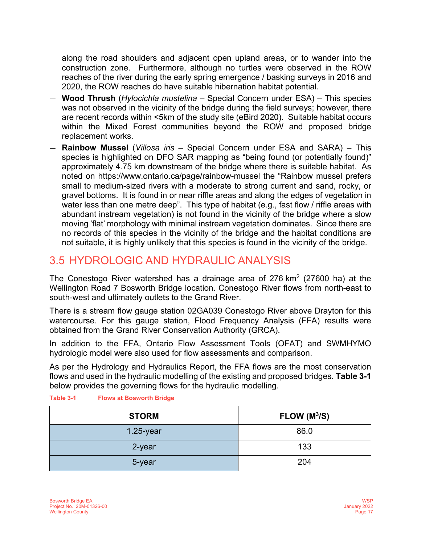along the road shoulders and adjacent open upland areas, or to wander into the construction zone. Furthermore, although no turtles were observed in the ROW reaches of the river during the early spring emergence / basking surveys in 2016 and 2020, the ROW reaches do have suitable hibernation habitat potential.

- **Wood Thrush** (*Hylocichla mustelina* Special Concern under ESA) This species was not observed in the vicinity of the bridge during the field surveys; however, there are recent records within <5km of the study site (eBird 2020). Suitable habitat occurs within the Mixed Forest communities beyond the ROW and proposed bridge replacement works.
- **Rainbow Mussel** (*Villosa iris* Special Concern under ESA and SARA) This species is highlighted on DFO SAR mapping as "being found (or potentially found)" approximately 4.75 km downstream of the bridge where there is suitable habitat. As noted on<https://www.ontario.ca/page/rainbow-mussel>the "Rainbow mussel prefers small to medium-sized rivers with a moderate to strong current and sand, rocky, or gravel bottoms. It is found in or near riffle areas and along the edges of vegetation in water less than one metre deep". This type of habitat (e.g., fast flow / riffle areas with abundant instream vegetation) is not found in the vicinity of the bridge where a slow moving 'flat' morphology with minimal instream vegetation dominates. Since there are no records of this species in the vicinity of the bridge and the habitat conditions are not suitable, it is highly unlikely that this species is found in the vicinity of the bridge.

### <span id="page-22-0"></span>3.5 HYDROLOGIC AND HYDRAULIC ANALYSIS

The Conestogo River watershed has a drainage area of 276  $km^2$  (27600 ha) at the Wellington Road 7 Bosworth Bridge location. Conestogo River flows from north-east to south-west and ultimately outlets to the Grand River.

There is a stream flow gauge station 02GA039 Conestogo River above Drayton for this watercourse. For this gauge station, Flood Frequency Analysis (FFA) results were obtained from the Grand River Conservation Authority (GRCA).

In addition to the FFA, Ontario Flow Assessment Tools (OFAT) and SWMHYMO hydrologic model were also used for flow assessments and comparison.

As per the Hydrology and Hydraulics Report, the FFA flows are the most conservation flows and used in the hydraulic modelling of the existing and proposed bridges. **[Table 3-1](#page-22-1)**  below provides the governing flows for the hydraulic modelling.

| <b>STORM</b> | FLOW (M <sup>3</sup> /S) |
|--------------|--------------------------|
| $1.25$ -year | 86.0                     |
| 2-year       | 133                      |
| 5-year       | 204                      |

<span id="page-22-1"></span>**Table 3-1 Flows at Bosworth Bridge**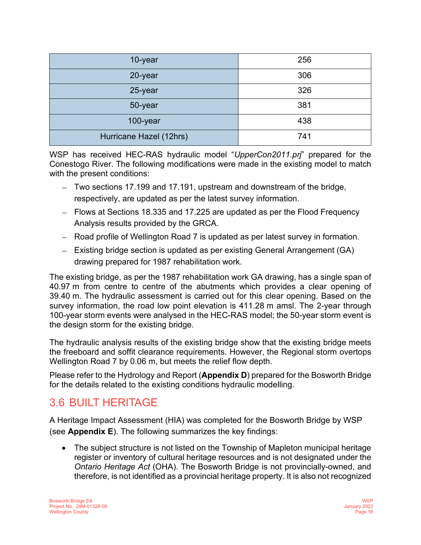| 10-year                 | 256 |
|-------------------------|-----|
| 20-year                 | 306 |
| 25-year                 | 326 |
| 50-year                 | 381 |
| 100-year                | 438 |
| Hurricane Hazel (12hrs) | 741 |

WSP has received HEC-RAS hydraulic model "*UpperCon2011.prj*" prepared for the Conestogo River. The following modifications were made in the existing model to match with the present conditions:

- Two sections 17.199 and 17.191, upstream and downstream of the bridge, respectively, are updated as per the latest survey information.
- Flows at Sections 18.335 and 17.225 are updated as per the Flood Frequency Analysis results provided by the GRCA.
- Road profile of Wellington Road 7 is updated as per latest survey in formation.
- Existing bridge section is updated as per existing General Arrangement (GA) drawing prepared for 1987 rehabilitation work.

The existing bridge, as per the 1987 rehabilitation work GA drawing, has a single span of 40.97 m from centre to centre of the abutments which provides a clear opening of 39.40 m. The hydraulic assessment is carried out for this clear opening. Based on the survey information, the road low point elevation is 411.28 m amsl. The 2-year through 100-year storm events were analysed in the HEC-RAS model; the 50-year storm event is the design storm for the existing bridge.

The hydraulic analysis results of the existing bridge show that the existing bridge meets the freeboard and soffit clearance requirements. However, the Regional storm overtops Wellington Road 7 by 0.06 m, but meets the relief flow depth.

Please refer to the Hydrology and Report (**Appendix D**) prepared for the Bosworth Bridge for the details related to the existing conditions hydraulic modelling.

### <span id="page-23-0"></span>3.6 BUILT HERITAGE

A Heritage Impact Assessment (HIA) was completed for the Bosworth Bridge by WSP (see **Appendix E**). The following summarizes the key findings:

• The subject structure is not listed on the Township of Mapleton municipal heritage register or inventory of cultural heritage resources and is not designated under the *Ontario Heritage Act* (OHA). The Bosworth Bridge is not provincially-owned, and therefore, is not identified as a provincial heritage property. It is also not recognized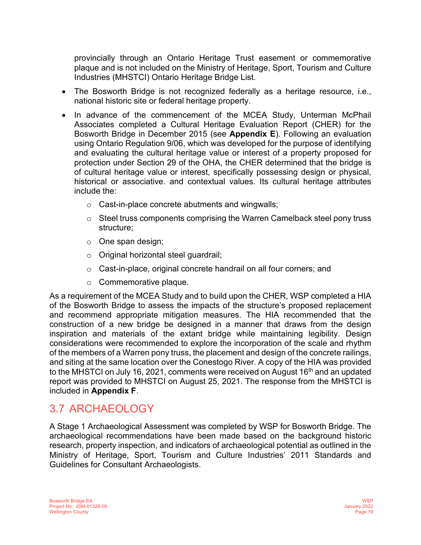provincially through an Ontario Heritage Trust easement or commemorative plaque and is not included on the Ministry of Heritage, Sport, Tourism and Culture Industries (MHSTCI) Ontario Heritage Bridge List.

- The Bosworth Bridge is not recognized federally as a heritage resource, i.e., national historic site or federal heritage property.
- In advance of the commencement of the MCEA Study, Unterman McPhail Associates completed a Cultural Heritage Evaluation Report (CHER) for the Bosworth Bridge in December 2015 (see **Appendix E**). Following an evaluation using Ontario Regulation 9/06, which was developed for the purpose of identifying and evaluating the cultural heritage value or interest of a property proposed for protection under Section 29 of the OHA, the CHER determined that the bridge is of cultural heritage value or interest, specifically possessing design or physical, historical or associative. and contextual values. Its cultural heritage attributes include the:
	- o Cast-in-place concrete abutments and wingwalls;
	- $\circ$  Steel truss components comprising the Warren Camelback steel pony truss structure;
	- o One span design;
	- o Original horizontal steel guardrail;
	- o Cast-in-place, original concrete handrail on all four corners; and
	- o Commemorative plaque.

As a requirement of the MCEA Study and to build upon the CHER, WSP completed a HIA of the Bosworth Bridge to assess the impacts of the structure's proposed replacement and recommend appropriate mitigation measures. The HIA recommended that the construction of a new bridge be designed in a manner that draws from the design inspiration and materials of the extant bridge while maintaining legibility. Design considerations were recommended to explore the incorporation of the scale and rhythm of the members of a Warren pony truss, the placement and design of the concrete railings, and siting at the same location over the Conestogo River. A copy of the HIA was provided to the MHSTCI on July 16, 2021, comments were received on August  $16<sup>th</sup>$  and an updated report was provided to MHSTCI on August 25, 2021. The response from the MHSTCI is included in **Appendix F**.

### <span id="page-24-0"></span>3.7 ARCHAEOLOGY

A Stage 1 Archaeological Assessment was completed by WSP for Bosworth Bridge. The archaeological recommendations have been made based on the background historic research, property inspection, and indicators of archaeological potential as outlined in the Ministry of Heritage, Sport, Tourism and Culture Industries' 2011 Standards and Guidelines for Consultant Archaeologists.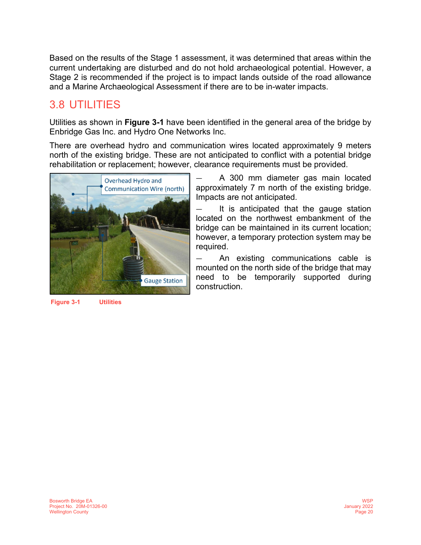Based on the results of the Stage 1 assessment, it was determined that areas within the current undertaking are disturbed and do not hold archaeological potential. However, a Stage 2 is recommended if the project is to impact lands outside of the road allowance and a Marine Archaeological Assessment if there are to be in-water impacts.

### <span id="page-25-0"></span>3.8 UTILITIES

Utilities as shown in **[Figure 3-1](#page-25-1)** have been identified in the general area of the bridge by Enbridge Gas Inc. and Hydro One Networks Inc.

There are overhead hydro and communication wires located approximately 9 meters north of the existing bridge. These are not anticipated to conflict with a potential bridge rehabilitation or replacement; however, clearance requirements must be provided.



— A 300 mm diameter gas main located approximately 7 m north of the existing bridge. Impacts are not anticipated.

It is anticipated that the gauge station located on the northwest embankment of the bridge can be maintained in its current location; however, a temporary protection system may be required.

— An existing communications cable is mounted on the north side of the bridge that may need to be temporarily supported during construction.

<span id="page-25-1"></span>**Figure 3-1 Utilities**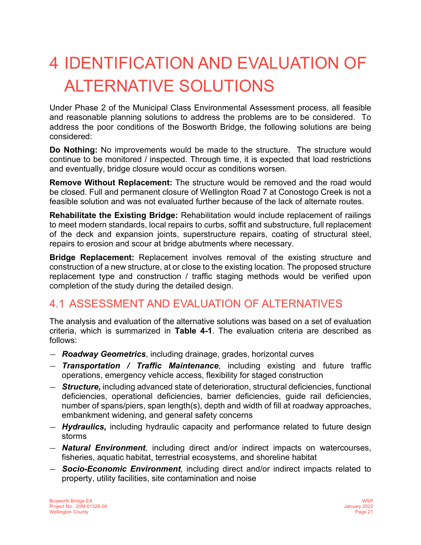# <span id="page-26-0"></span>4 IDENTIFICATION AND EVALUATION OF ALTERNATIVE SOLUTIONS

Under Phase 2 of the Municipal Class Environmental Assessment process, all feasible and reasonable planning solutions to address the problems are to be considered. To address the poor conditions of the Bosworth Bridge, the following solutions are being considered:

**Do Nothing:** No improvements would be made to the structure. The structure would continue to be monitored / inspected. Through time, it is expected that load restrictions and eventually, bridge closure would occur as conditions worsen.

**Remove Without Replacement:** The structure would be removed and the road would be closed. Full and permanent closure of Wellington Road 7 at Conostogo Creek is not a feasible solution and was not evaluated further because of the lack of alternate routes.

**Rehabilitate the Existing Bridge:** Rehabilitation would include replacement of railings to meet modern standards, local repairs to curbs, soffit and substructure, full replacement of the deck and expansion joints, superstructure repairs, coating of structural steel, repairs to erosion and scour at bridge abutments where necessary.

**Bridge Replacement:** Replacement involves removal of the existing structure and construction of a new structure, at or close to the existing location. The proposed structure replacement type and construction / traffic staging methods would be verified upon completion of the study during the detailed design.

### <span id="page-26-1"></span>4.1 ASSESSMENT AND EVALUATION OF ALTERNATIVES

The analysis and evaluation of the alternative solutions was based on a set of evaluation criteria, which is summarized in **Table 4-1**. The evaluation criteria are described as follows:

- *Roadway Geometrics*, including drainage, grades, horizontal curves
- *Transportation / Traffic Maintenance*, including existing and future traffic operations, emergency vehicle access, flexibility for staged construction
- *Structure,* including advanced state of deterioration, structural deficiencies, functional deficiencies, operational deficiencies, barrier deficiencies, guide rail deficiencies, number of spans/piers, span length(s), depth and width of fill at roadway approaches, embankment widening, and general safety concerns
- *Hydraulics,* including hydraulic capacity and performance related to future design storms
- *Natural Environment*, including direct and/or indirect impacts on watercourses, fisheries, aquatic habitat, terrestrial ecosystems, and shoreline habitat
- *Socio-Economic Environment*, including direct and/or indirect impacts related to property, utility facilities, site contamination and noise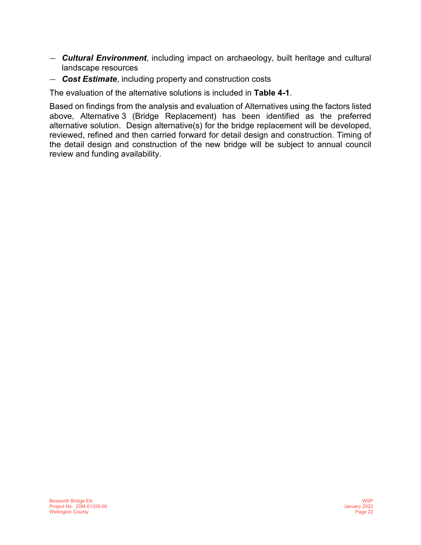- *Cultural Environment*, including impact on archaeology, built heritage and cultural landscape resources
- *Cost Estimate*, including property and construction costs

The evaluation of the alternative solutions is included in **Table 4-1**.

Based on findings from the analysis and evaluation of Alternatives using the factors listed above, Alternative 3 (Bridge Replacement) has been identified as the preferred alternative solution. Design alternative(s) for the bridge replacement will be developed, reviewed, refined and then carried forward for detail design and construction. Timing of the detail design and construction of the new bridge will be subject to annual council review and funding availability.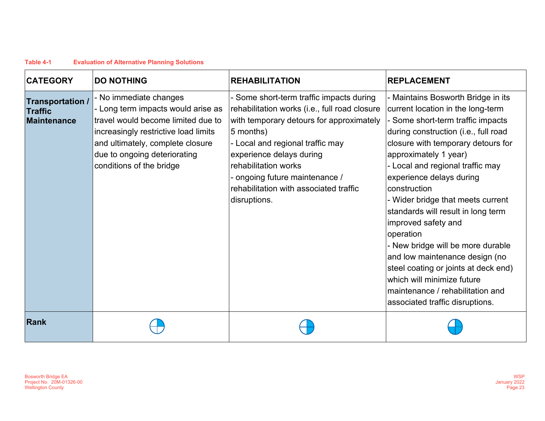#### **Table 4-1 Evaluation of Alternative Planning Solutions**

| <b>CATEGORY</b>                                          | <b>DO NOTHING</b>                                                                                                                                                                                                                          | <b>REHABILITATION</b>                                                                                                                                                                                                                                                                                                                  | <b>REPLACEMENT</b>                                                                                                                                                                                                                                                                                                                                                                                                                                                                                                                                                                                                                     |
|----------------------------------------------------------|--------------------------------------------------------------------------------------------------------------------------------------------------------------------------------------------------------------------------------------------|----------------------------------------------------------------------------------------------------------------------------------------------------------------------------------------------------------------------------------------------------------------------------------------------------------------------------------------|----------------------------------------------------------------------------------------------------------------------------------------------------------------------------------------------------------------------------------------------------------------------------------------------------------------------------------------------------------------------------------------------------------------------------------------------------------------------------------------------------------------------------------------------------------------------------------------------------------------------------------------|
| Transportation /<br><b>Traffic</b><br><b>Maintenance</b> | - No immediate changes<br>- Long term impacts would arise as<br>travel would become limited due to<br>increasingly restrictive load limits<br>and ultimately, complete closure<br>due to ongoing deteriorating<br>conditions of the bridge | - Some short-term traffic impacts during<br>rehabilitation works (i.e., full road closure<br>with temporary detours for approximately<br>5 months)<br>- Local and regional traffic may<br>experience delays during<br>rehabilitation works<br>- ongoing future maintenance /<br>rehabilitation with associated traffic<br>disruptions. | - Maintains Bosworth Bridge in its<br>current location in the long-term<br>- Some short-term traffic impacts<br>during construction (i.e., full road<br>closure with temporary detours for<br>approximately 1 year)<br>- Local and regional traffic may<br>experience delays during<br>construction<br>- Wider bridge that meets current<br>standards will result in long term<br>improved safety and<br>operation<br>- New bridge will be more durable<br>and low maintenance design (no<br>steel coating or joints at deck end)<br>which will minimize future<br>maintenance / rehabilitation and<br>associated traffic disruptions. |
| Rank                                                     |                                                                                                                                                                                                                                            |                                                                                                                                                                                                                                                                                                                                        |                                                                                                                                                                                                                                                                                                                                                                                                                                                                                                                                                                                                                                        |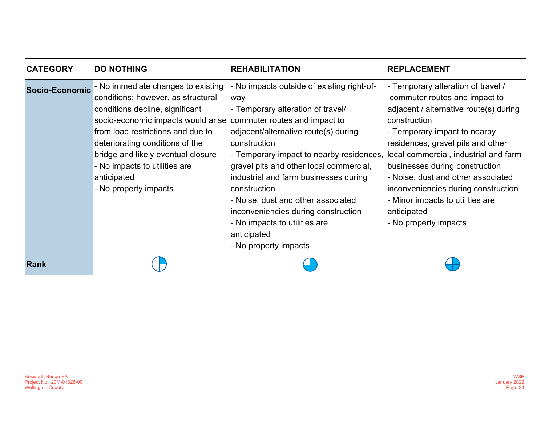| <b>CATEGORY</b> | <b>DO NOTHING</b>                                                                                                                                                                                                                                                                                                                                                      | <b>REHABILITATION</b>                                                                                                                                                                                                                                                                                                                                                                                                                                                                      | <b>REPLACEMENT</b>                                                                                                                                                                                                                                                                                                                                                                          |
|-----------------|------------------------------------------------------------------------------------------------------------------------------------------------------------------------------------------------------------------------------------------------------------------------------------------------------------------------------------------------------------------------|--------------------------------------------------------------------------------------------------------------------------------------------------------------------------------------------------------------------------------------------------------------------------------------------------------------------------------------------------------------------------------------------------------------------------------------------------------------------------------------------|---------------------------------------------------------------------------------------------------------------------------------------------------------------------------------------------------------------------------------------------------------------------------------------------------------------------------------------------------------------------------------------------|
| Socio-Economic  | - No immediate changes to existing<br>conditions; however, as structural<br>conditions decline, significant<br>socio-economic impacts would arise commuter routes and impact to<br>from load restrictions and due to<br>deteriorating conditions of the<br>bridge and likely eventual closure<br>- No impacts to utilities are<br>anticipated<br>- No property impacts | - No impacts outside of existing right-of-<br>way<br>- Temporary alteration of travel/<br>adjacent/alternative route(s) during<br>construction<br>- Temporary impact to nearby residences, local commercial, industrial and farm<br>gravel pits and other local commercial,<br>industrial and farm businesses during<br>construction<br>- Noise, dust and other associated<br>inconveniencies during construction<br>- No impacts to utilities are<br>anticipated<br>- No property impacts | - Temporary alteration of travel /<br>commuter routes and impact to<br>adjacent / alternative route(s) during<br>construction<br>- Temporary impact to nearby<br>residences, gravel pits and other<br>businesses during construction<br>- Noise, dust and other associated<br>inconveniencies during construction<br>Minor impacts to utilities are<br>anticipated<br>- No property impacts |
| Rank            |                                                                                                                                                                                                                                                                                                                                                                        |                                                                                                                                                                                                                                                                                                                                                                                                                                                                                            |                                                                                                                                                                                                                                                                                                                                                                                             |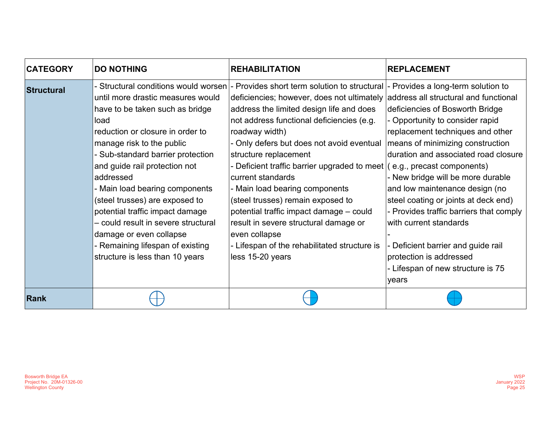| <b>CATEGORY</b>   | <b>DO NOTHING</b>                                                                                                                                                                                                                                                                                                                                                                                                                                                                | <b>REHABILITATION</b>                                                                                                                                                                                                                                                                                                                                                                                                                                                                                                                                                                                                                                                                                 | <b>REPLACEMENT</b>                                                                                                                                                                                                                                                                                                                                                                                                                                                                                                             |
|-------------------|----------------------------------------------------------------------------------------------------------------------------------------------------------------------------------------------------------------------------------------------------------------------------------------------------------------------------------------------------------------------------------------------------------------------------------------------------------------------------------|-------------------------------------------------------------------------------------------------------------------------------------------------------------------------------------------------------------------------------------------------------------------------------------------------------------------------------------------------------------------------------------------------------------------------------------------------------------------------------------------------------------------------------------------------------------------------------------------------------------------------------------------------------------------------------------------------------|--------------------------------------------------------------------------------------------------------------------------------------------------------------------------------------------------------------------------------------------------------------------------------------------------------------------------------------------------------------------------------------------------------------------------------------------------------------------------------------------------------------------------------|
| <b>Structural</b> | until more drastic measures would<br>have to be taken such as bridge<br>load<br>reduction or closure in order to<br>manage risk to the public<br>- Sub-standard barrier protection<br>and guide rail protection not<br>addressed<br>- Main load bearing components<br>(steel trusses) are exposed to<br>potential traffic impact damage<br>- could result in severe structural<br>damage or even collapse<br>- Remaining lifespan of existing<br>structure is less than 10 years | Structural conditions would worsen  - Provides short term solution to structural  - Provides a long-term solution to<br>deficiencies; however, does not ultimately<br>address the limited design life and does<br>not address functional deficiencies (e.g.<br>roadway width)<br>- Only defers but does not avoid eventual<br>structure replacement<br>- Deficient traffic barrier upgraded to meet  ( e.g., precast components)<br>current standards<br>- Main load bearing components<br>(steel trusses) remain exposed to<br>potential traffic impact damage - could<br>result in severe structural damage or<br>even collapse<br>- Lifespan of the rehabilitated structure is<br>less 15-20 years | address all structural and functional<br>deficiencies of Bosworth Bridge<br>- Opportunity to consider rapid<br>replacement techniques and other<br>means of minimizing construction<br>duration and associated road closure<br>- New bridge will be more durable<br>and low maintenance design (no<br>steel coating or joints at deck end)<br>- Provides traffic barriers that comply<br>with current standards<br>- Deficient barrier and guide rail<br>protection is addressed<br>- Lifespan of new structure is 75<br>years |
| Rank              |                                                                                                                                                                                                                                                                                                                                                                                                                                                                                  |                                                                                                                                                                                                                                                                                                                                                                                                                                                                                                                                                                                                                                                                                                       |                                                                                                                                                                                                                                                                                                                                                                                                                                                                                                                                |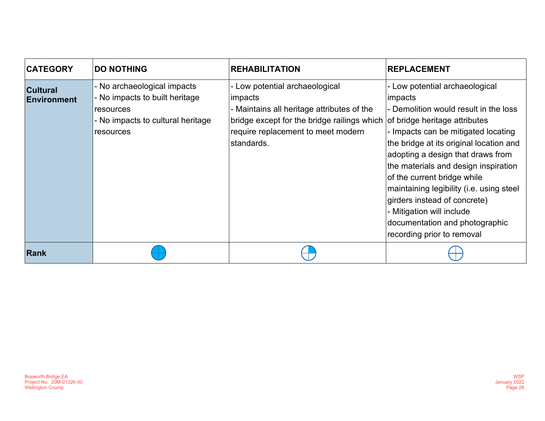| <b>CATEGORY</b>                       | <b>DO NOTHING</b>                                                                                                            | <b>REHABILITATION</b>                                                                                                                                                                      | <b>REPLACEMENT</b>                                                                                                                                                                                                                                                                                                                                                                                                                                                                         |
|---------------------------------------|------------------------------------------------------------------------------------------------------------------------------|--------------------------------------------------------------------------------------------------------------------------------------------------------------------------------------------|--------------------------------------------------------------------------------------------------------------------------------------------------------------------------------------------------------------------------------------------------------------------------------------------------------------------------------------------------------------------------------------------------------------------------------------------------------------------------------------------|
| <b>Cultural</b><br><b>Environment</b> | - No archaeological impacts<br>- No impacts to built heritage<br>resources<br>- No impacts to cultural heritage<br>resources | - Low potential archaeological<br>impacts<br>- Maintains all heritage attributes of the<br>bridge except for the bridge railings which<br>require replacement to meet modern<br>standards. | - Low potential archaeological<br>impacts<br>- Demolition would result in the loss<br>of bridge heritage attributes<br>- Impacts can be mitigated locating<br>the bridge at its original location and<br>adopting a design that draws from<br>the materials and design inspiration<br>of the current bridge while<br>maintaining legibility (i.e. using steel<br>girders instead of concrete)<br>- Mitigation will include<br>documentation and photographic<br>recording prior to removal |
| Rank                                  |                                                                                                                              |                                                                                                                                                                                            |                                                                                                                                                                                                                                                                                                                                                                                                                                                                                            |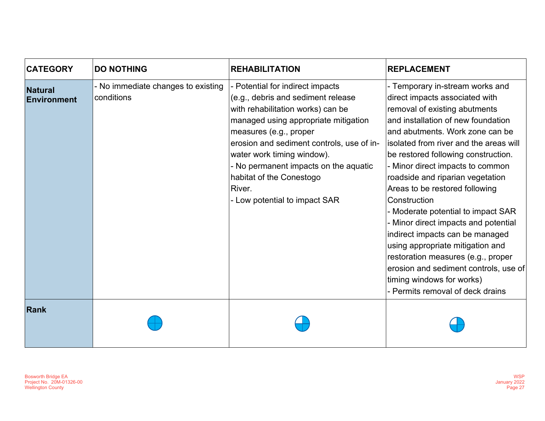| <b>CATEGORY</b>               | <b>DO NOTHING</b>                                | <b>REHABILITATION</b>                                                                                                                                                                                                                                                                                                                                                    | <b>REPLACEMENT</b>                                                                                                                                                                                                                                                                                                                                                                                                                                                                                                                                                                                                                                                                          |
|-------------------------------|--------------------------------------------------|--------------------------------------------------------------------------------------------------------------------------------------------------------------------------------------------------------------------------------------------------------------------------------------------------------------------------------------------------------------------------|---------------------------------------------------------------------------------------------------------------------------------------------------------------------------------------------------------------------------------------------------------------------------------------------------------------------------------------------------------------------------------------------------------------------------------------------------------------------------------------------------------------------------------------------------------------------------------------------------------------------------------------------------------------------------------------------|
| <b>Natural</b><br>Environment | - No immediate changes to existing<br>conditions | - Potential for indirect impacts<br>(e.g., debris and sediment release<br>with rehabilitation works) can be<br>managed using appropriate mitigation<br>measures (e.g., proper<br>erosion and sediment controls, use of in-<br>water work timing window).<br>- No permanent impacts on the aquatic<br>habitat of the Conestogo<br>River.<br>- Low potential to impact SAR | - Temporary in-stream works and<br>direct impacts associated with<br>removal of existing abutments<br>and installation of new foundation<br>and abutments. Work zone can be<br>isolated from river and the areas will<br>be restored following construction.<br>- Minor direct impacts to common<br>roadside and riparian vegetation<br>Areas to be restored following<br>Construction<br>- Moderate potential to impact SAR<br>- Minor direct impacts and potential<br>indirect impacts can be managed<br>using appropriate mitigation and<br>restoration measures (e.g., proper<br>erosion and sediment controls, use of<br>timing windows for works)<br>- Permits removal of deck drains |
| <b>Rank</b>                   |                                                  |                                                                                                                                                                                                                                                                                                                                                                          |                                                                                                                                                                                                                                                                                                                                                                                                                                                                                                                                                                                                                                                                                             |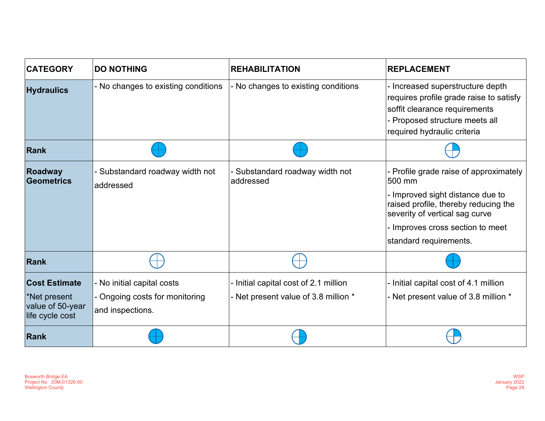| <b>CATEGORY</b>                                                             | <b>DO NOTHING</b>                                                              | <b>REHABILITATION</b>                                                       | <b>REPLACEMENT</b>                                                                                                                                                                                                         |
|-----------------------------------------------------------------------------|--------------------------------------------------------------------------------|-----------------------------------------------------------------------------|----------------------------------------------------------------------------------------------------------------------------------------------------------------------------------------------------------------------------|
| <b>Hydraulics</b>                                                           | No changes to existing conditions                                              | - No changes to existing conditions                                         | Increased superstructure depth<br>requires profile grade raise to satisfy<br>soffit clearance requirements<br>Proposed structure meets all<br>required hydraulic criteria                                                  |
| <b>Rank</b>                                                                 |                                                                                |                                                                             |                                                                                                                                                                                                                            |
| Roadway<br><b>Geometrics</b>                                                | Substandard roadway width not<br>addressed                                     | - Substandard roadway width not<br>addressed                                | - Profile grade raise of approximately<br>500 mm<br>- Improved sight distance due to<br>raised profile, thereby reducing the<br>severity of vertical sag curve<br>Improves cross section to meet<br>standard requirements. |
| <b>Rank</b>                                                                 |                                                                                |                                                                             |                                                                                                                                                                                                                            |
| <b>Cost Estimate</b><br>*Net present<br>value of 50-year<br>life cycle cost | - No initial capital costs<br>Ongoing costs for monitoring<br>and inspections. | Initial capital cost of 2.1 million<br>- Net present value of 3.8 million * | Initial capital cost of 4.1 million<br>Net present value of 3.8 million *                                                                                                                                                  |
| Rank                                                                        |                                                                                |                                                                             |                                                                                                                                                                                                                            |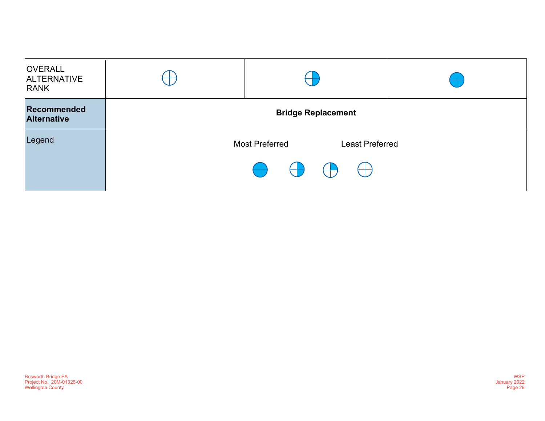| <b>OVERALL</b><br><b>ALTERNATIVE</b><br><b>RANK</b> |                           | □                                               |                        |  |
|-----------------------------------------------------|---------------------------|-------------------------------------------------|------------------------|--|
| <b>Recommended</b><br><b>Alternative</b>            | <b>Bridge Replacement</b> |                                                 |                        |  |
| Legend                                              |                           | <b>Most Preferred</b>                           | <b>Least Preferred</b> |  |
|                                                     |                           | $\bigoplus$ $\bigoplus$ $\bigoplus$ $\bigoplus$ |                        |  |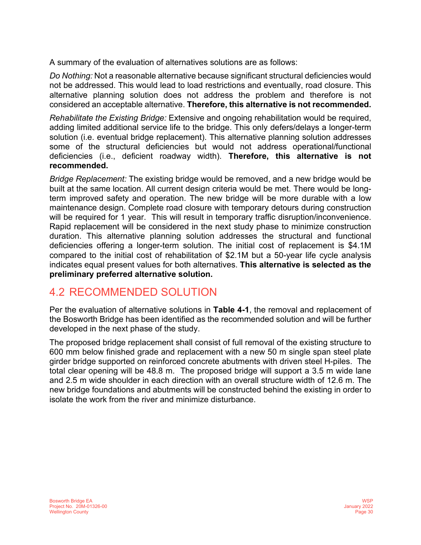A summary of the evaluation of alternatives solutions are as follows:

*Do Nothing:* Not a reasonable alternative because significant structural deficiencies would not be addressed. This would lead to load restrictions and eventually, road closure. This alternative planning solution does not address the problem and therefore is not considered an acceptable alternative. **Therefore, this alternative is not recommended.**

*Rehabilitate the Existing Bridge:* Extensive and ongoing rehabilitation would be required, adding limited additional service life to the bridge. This only defers/delays a longer-term solution (i.e. eventual bridge replacement). This alternative planning solution addresses some of the structural deficiencies but would not address operational/functional deficiencies (i.e., deficient roadway width). **Therefore, this alternative is not recommended.**

*Bridge Replacement:* The existing bridge would be removed, and a new bridge would be built at the same location. All current design criteria would be met. There would be longterm improved safety and operation. The new bridge will be more durable with a low maintenance design. Complete road closure with temporary detours during construction will be required for 1 year. This will result in temporary traffic disruption/inconvenience. Rapid replacement will be considered in the next study phase to minimize construction duration. This alternative planning solution addresses the structural and functional deficiencies offering a longer-term solution. The initial cost of replacement is \$4.1M compared to the initial cost of rehabilitation of \$2.1M but a 50-year life cycle analysis indicates equal present values for both alternatives. **This alternative is selected as the preliminary preferred alternative solution.**

### <span id="page-35-0"></span>4.2 RECOMMENDED SOLUTION

Per the evaluation of alternative solutions in **Table 4-1**, the removal and replacement of the Bosworth Bridge has been identified as the recommended solution and will be further developed in the next phase of the study.

The proposed bridge replacement shall consist of full removal of the existing structure to 600 mm below finished grade and replacement with a new 50 m single span steel plate girder bridge supported on reinforced concrete abutments with driven steel H-piles. The total clear opening will be 48.8 m. The proposed bridge will support a 3.5 m wide lane and 2.5 m wide shoulder in each direction with an overall structure width of 12.6 m. The new bridge foundations and abutments will be constructed behind the existing in order to isolate the work from the river and minimize disturbance.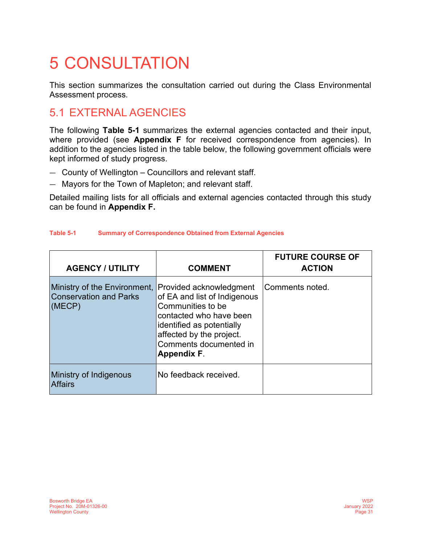# <span id="page-36-0"></span>5 CONSULTATION

This section summarizes the consultation carried out during the Class Environmental Assessment process.

### <span id="page-36-1"></span>5.1 EXTERNAL AGENCIES

The following **[Table 5-1](#page-36-2)** summarizes the external agencies contacted and their input, where provided (see **Appendix F** for received correspondence from agencies). In addition to the agencies listed in the table below, the following government officials were kept informed of study progress.

- County of Wellington Councillors and relevant staff.
- Mayors for the Town of Mapleton; and relevant staff.

Detailed mailing lists for all officials and external agencies contacted through this study can be found in **Appendix F.** 

| <b>AGENCY / UTILITY</b>                                                 | <b>COMMENT</b>                                                                                                                                                                                                          | <b>FUTURE COURSE OF</b><br><b>ACTION</b> |
|-------------------------------------------------------------------------|-------------------------------------------------------------------------------------------------------------------------------------------------------------------------------------------------------------------------|------------------------------------------|
| Ministry of the Environment,<br><b>Conservation and Parks</b><br>(MECP) | <b>Provided acknowledgment</b><br>of EA and list of Indigenous<br>Communities to be<br>contacted who have been<br>identified as potentially<br>affected by the project.<br>Comments documented in<br><b>Appendix F.</b> | Comments noted.                          |
| Ministry of Indigenous<br><b>Affairs</b>                                | No feedback received.                                                                                                                                                                                                   |                                          |

#### <span id="page-36-2"></span>**Table 5-1 Summary of Correspondence Obtained from External Agencies**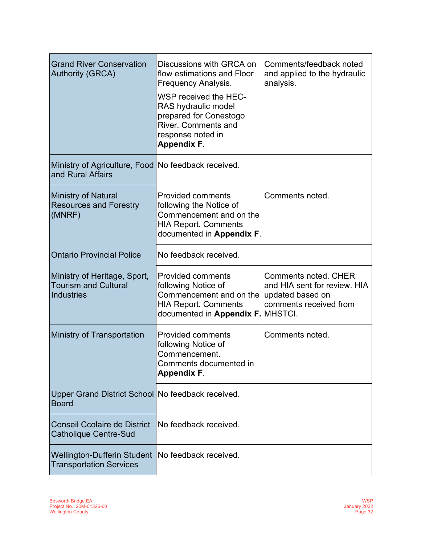| <b>Grand River Conservation</b><br><b>Authority (GRCA)</b>                            | Discussions with GRCA on<br>flow estimations and Floor<br><b>Frequency Analysis.</b><br>WSP received the HEC-<br>RAS hydraulic model<br>prepared for Conestogo<br><b>River. Comments and</b><br>response noted in<br><b>Appendix F.</b> | Comments/feedback noted<br>and applied to the hydraulic<br>analysis.                               |
|---------------------------------------------------------------------------------------|-----------------------------------------------------------------------------------------------------------------------------------------------------------------------------------------------------------------------------------------|----------------------------------------------------------------------------------------------------|
| Ministry of Agriculture, Food No feedback received.<br>and Rural Affairs              |                                                                                                                                                                                                                                         |                                                                                                    |
| <b>Ministry of Natural</b><br><b>Resources and Forestry</b><br>(MNRF)                 | <b>Provided comments</b><br>following the Notice of<br>Commencement and on the<br><b>HIA Report. Comments</b><br>documented in Appendix F.                                                                                              | Comments noted.                                                                                    |
| <b>Ontario Provincial Police</b>                                                      | No feedback received.                                                                                                                                                                                                                   |                                                                                                    |
| Ministry of Heritage, Sport,<br><b>Tourism and Cultural</b><br><b>Industries</b>      | <b>Provided comments</b><br>following Notice of<br>Commencement and on the<br><b>HIA Report. Comments</b><br>documented in Appendix F. MHSTCI.                                                                                          | Comments noted, CHER<br>and HIA sent for review. HIA<br>updated based on<br>comments received from |
| Ministry of Transportation                                                            | <b>Provided comments</b><br>following Notice of<br>Commencement.<br>Comments documented in<br><b>Appendix F.</b>                                                                                                                        | Comments noted.                                                                                    |
| Upper Grand District School No feedback received.<br><b>Board</b>                     |                                                                                                                                                                                                                                         |                                                                                                    |
| <b>Conseil Ccolaire de District</b><br><b>Catholique Centre-Sud</b>                   | No feedback received.                                                                                                                                                                                                                   |                                                                                                    |
| Wellington-Dufferin Student   No feedback received.<br><b>Transportation Services</b> |                                                                                                                                                                                                                                         |                                                                                                    |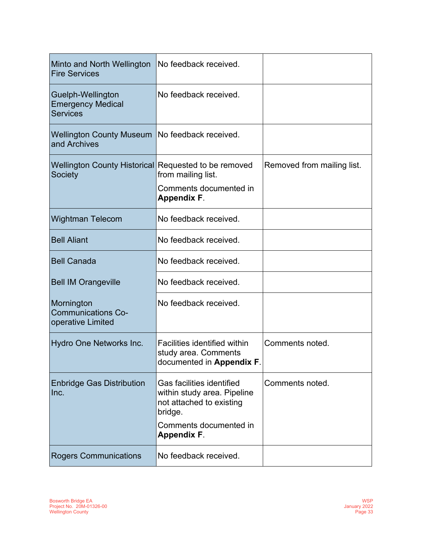| Minto and North Wellington<br><b>Fire Services</b>                     | No feedback received.                                                                                                                                  |                            |
|------------------------------------------------------------------------|--------------------------------------------------------------------------------------------------------------------------------------------------------|----------------------------|
| Guelph-Wellington<br><b>Emergency Medical</b><br><b>Services</b>       | No feedback received.                                                                                                                                  |                            |
| <b>Wellington County Museum</b><br>and Archives                        | No feedback received.                                                                                                                                  |                            |
| Wellington County Historical Requested to be removed<br><b>Society</b> | from mailing list.<br>Comments documented in<br><b>Appendix F.</b>                                                                                     | Removed from mailing list. |
| <b>Wightman Telecom</b>                                                | No feedback received.                                                                                                                                  |                            |
| <b>Bell Aliant</b>                                                     | No feedback received.                                                                                                                                  |                            |
| <b>Bell Canada</b>                                                     | No feedback received.                                                                                                                                  |                            |
| <b>Bell IM Orangeville</b>                                             | No feedback received.                                                                                                                                  |                            |
| Mornington<br><b>Communications Co-</b><br>operative Limited           | No feedback received.                                                                                                                                  |                            |
| Hydro One Networks Inc.                                                | Facilities identified within<br>study area. Comments<br>documented in Appendix F.                                                                      | Comments noted.            |
| <b>Enbridge Gas Distribution</b><br>Inc.                               | <b>Gas facilities identified</b><br>within study area. Pipeline<br>not attached to existing<br>bridge.<br>Comments documented in<br><b>Appendix F.</b> | Comments noted.            |
| <b>Rogers Communications</b>                                           | No feedback received.                                                                                                                                  |                            |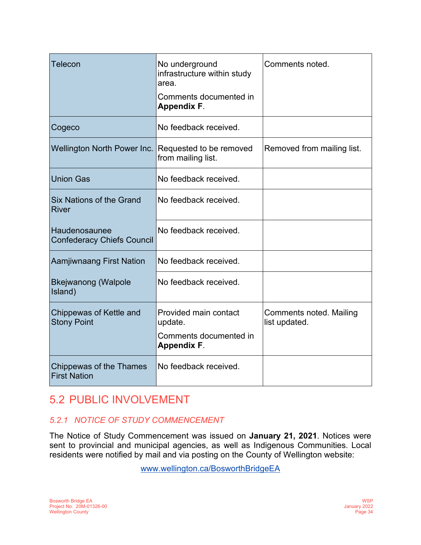| Telecon                                            | No underground<br>infrastructure within study<br>area.<br>Comments documented in<br><b>Appendix F.</b> | Comments noted.                          |
|----------------------------------------------------|--------------------------------------------------------------------------------------------------------|------------------------------------------|
| Cogeco                                             | No feedback received.                                                                                  |                                          |
| Wellington North Power Inc.                        | Requested to be removed<br>from mailing list.                                                          | Removed from mailing list.               |
| <b>Union Gas</b>                                   | No feedback received.                                                                                  |                                          |
| <b>Six Nations of the Grand</b><br><b>River</b>    | No feedback received.                                                                                  |                                          |
| Haudenosaunee<br><b>Confederacy Chiefs Council</b> | No feedback received.                                                                                  |                                          |
| <b>Aamjiwnaang First Nation</b>                    | No feedback received.                                                                                  |                                          |
| <b>Bkejwanong (Walpole</b><br>Island)              | No feedback received.                                                                                  |                                          |
| Chippewas of Kettle and<br><b>Stony Point</b>      | Provided main contact<br>update.<br>Comments documented in<br><b>Appendix F.</b>                       | Comments noted. Mailing<br>list updated. |
| Chippewas of the Thames<br><b>First Nation</b>     | No feedback received.                                                                                  |                                          |

### <span id="page-39-0"></span>5.2 PUBLIC INVOLVEMENT

#### <span id="page-39-1"></span>*5.2.1 NOTICE OF STUDY COMMENCEMENT*

The Notice of Study Commencement was issued on **January 21, 2021**. Notices were sent to provincial and municipal agencies, as well as Indigenous Communities. Local residents were notified by mail and via posting on the County of Wellington website:

[www.wellington.ca/BosworthBridgeEA](http://www.wellington.ca/BosworthBridgeEA)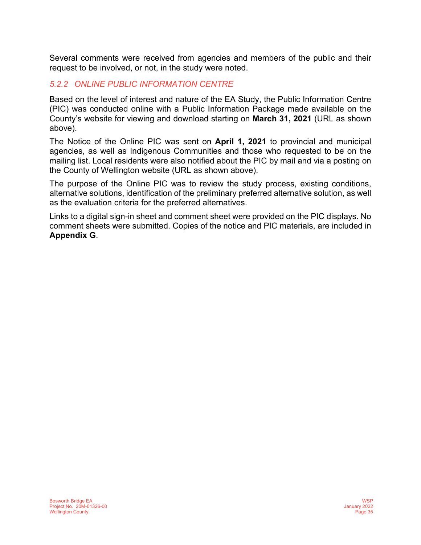Several comments were received from agencies and members of the public and their request to be involved, or not, in the study were noted.

#### <span id="page-40-0"></span>*5.2.2 ONLINE PUBLIC INFORMATION CENTRE*

Based on the level of interest and nature of the EA Study, the Public Information Centre (PIC) was conducted online with a Public Information Package made available on the County's website for viewing and download starting on **March 31, 2021** (URL as shown above).

The Notice of the Online PIC was sent on **April 1, 2021** to provincial and municipal agencies, as well as Indigenous Communities and those who requested to be on the mailing list. Local residents were also notified about the PIC by mail and via a posting on the County of Wellington website (URL as shown above).

The purpose of the Online PIC was to review the study process, existing conditions, alternative solutions, identification of the preliminary preferred alternative solution, as well as the evaluation criteria for the preferred alternatives.

Links to a digital sign-in sheet and comment sheet were provided on the PIC displays. No comment sheets were submitted. Copies of the notice and PIC materials, are included in **Appendix G**.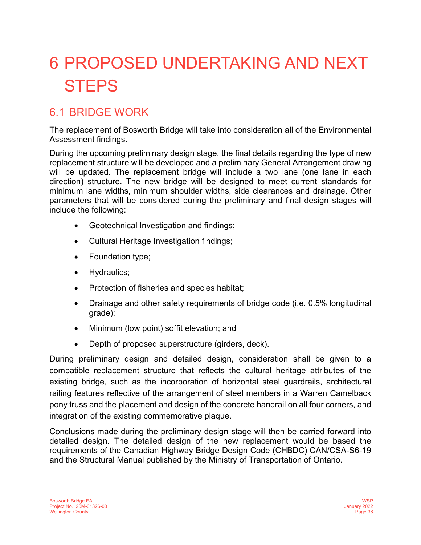# <span id="page-41-0"></span>6 PROPOSED UNDERTAKING AND NEXT **STEPS**

### <span id="page-41-1"></span>6.1 BRIDGE WORK

The replacement of Bosworth Bridge will take into consideration all of the Environmental Assessment findings.

During the upcoming preliminary design stage, the final details regarding the type of new replacement structure will be developed and a preliminary General Arrangement drawing will be updated. The replacement bridge will include a two lane (one lane in each direction) structure. The new bridge will be designed to meet current standards for minimum lane widths, minimum shoulder widths, side clearances and drainage. Other parameters that will be considered during the preliminary and final design stages will include the following:

- Geotechnical Investigation and findings;
- Cultural Heritage Investigation findings;
- Foundation type;
- Hydraulics;
- Protection of fisheries and species habitat;
- Drainage and other safety requirements of bridge code (i.e. 0.5% longitudinal grade);
- Minimum (low point) soffit elevation; and
- Depth of proposed superstructure (girders, deck).

During preliminary design and detailed design, consideration shall be given to a compatible replacement structure that reflects the cultural heritage attributes of the existing bridge, such as the incorporation of horizontal steel guardrails, architectural railing features reflective of the arrangement of steel members in a Warren Camelback pony truss and the placement and design of the concrete handrail on all four corners, and integration of the existing commemorative plaque.

Conclusions made during the preliminary design stage will then be carried forward into detailed design. The detailed design of the new replacement would be based the requirements of the Canadian Highway Bridge Design Code (CHBDC) CAN/CSA-S6-19 and the Structural Manual published by the Ministry of Transportation of Ontario.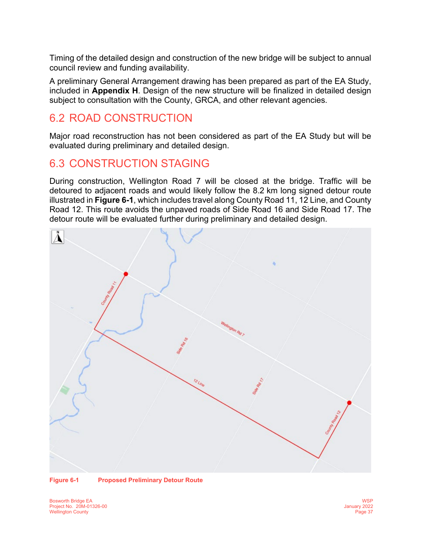Timing of the detailed design and construction of the new bridge will be subject to annual council review and funding availability.

A preliminary General Arrangement drawing has been prepared as part of the EA Study, included in **Appendix H**. Design of the new structure will be finalized in detailed design subject to consultation with the County, GRCA, and other relevant agencies.

### <span id="page-42-0"></span>6.2 ROAD CONSTRUCTION

Major road reconstruction has not been considered as part of the EA Study but will be evaluated during preliminary and detailed design.

### <span id="page-42-1"></span>6.3 CONSTRUCTION STAGING

During construction, Wellington Road 7 will be closed at the bridge. Traffic will be detoured to adjacent roads and would likely follow the 8.2 km long signed detour route illustrated in **[Figure 6-1](#page-42-3)**, which includes travel along County Road 11, 12 Line, and County Road 12. This route avoids the unpaved roads of Side Road 16 and Side Road 17. The detour route will be evaluated further during preliminary and detailed design.

<span id="page-42-3"></span>

<span id="page-42-2"></span>**Figure 6-1 Proposed Preliminary Detour Route** 

Bosworth Bridge EA Project No. 20M-01326-00 Wellington County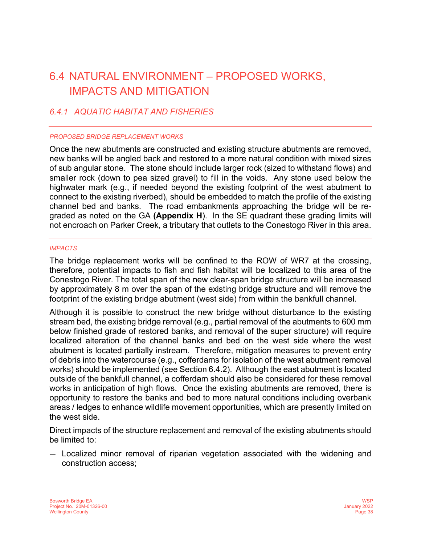# <span id="page-43-0"></span>6.4 NATURAL ENVIRONMENT – PROPOSED WORKS, IMPACTS AND MITIGATION

#### <span id="page-43-1"></span>*6.4.1 AQUATIC HABITAT AND FISHERIES*

#### *PROPOSED BRIDGE REPLACEMENT WORKS*

Once the new abutments are constructed and existing structure abutments are removed, new banks will be angled back and restored to a more natural condition with mixed sizes of sub angular stone. The stone should include larger rock (sized to withstand flows) and smaller rock (down to pea sized gravel) to fill in the voids. Any stone used below the highwater mark (e.g., if needed beyond the existing footprint of the west abutment to connect to the existing riverbed), should be embedded to match the profile of the existing channel bed and banks. The road embankments approaching the bridge will be regraded as noted on the GA **(Appendix H**). In the SE quadrant these grading limits will not encroach on Parker Creek, a tributary that outlets to the Conestogo River in this area.

#### *IMPACTS*

The bridge replacement works will be confined to the ROW of WR7 at the crossing, therefore, potential impacts to fish and fish habitat will be localized to this area of the Conestogo River. The total span of the new clear-span bridge structure will be increased by approximately 8 m over the span of the existing bridge structure and will remove the footprint of the existing bridge abutment (west side) from within the bankfull channel.

Although it is possible to construct the new bridge without disturbance to the existing stream bed, the existing bridge removal (e.g., partial removal of the abutments to 600 mm below finished grade of restored banks, and removal of the super structure) will require localized alteration of the channel banks and bed on the west side where the west abutment is located partially instream. Therefore, mitigation measures to prevent entry of debris into the watercourse (e.g., cofferdams for isolation of the west abutment removal works) should be implemented (see Section 6.4.2). Although the east abutment is located outside of the bankfull channel, a cofferdam should also be considered for these removal works in anticipation of high flows. Once the existing abutments are removed, there is opportunity to restore the banks and bed to more natural conditions including overbank areas / ledges to enhance wildlife movement opportunities, which are presently limited on the west side.

Direct impacts of the structure replacement and removal of the existing abutments should be limited to:

— Localized minor removal of riparian vegetation associated with the widening and construction access;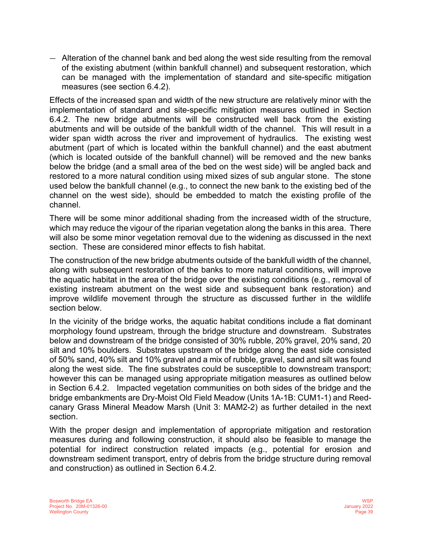— Alteration of the channel bank and bed along the west side resulting from the removal of the existing abutment (within bankfull channel) and subsequent restoration, which can be managed with the implementation of standard and site-specific mitigation measures (see section 6.4.2).

Effects of the increased span and width of the new structure are relatively minor with the implementation of standard and site-specific mitigation measures outlined in Section 6.4.2. The new bridge abutments will be constructed well back from the existing abutments and will be outside of the bankfull width of the channel. This will result in a wider span width across the river and improvement of hydraulics. The existing west abutment (part of which is located within the bankfull channel) and the east abutment (which is located outside of the bankfull channel) will be removed and the new banks below the bridge (and a small area of the bed on the west side) will be angled back and restored to a more natural condition using mixed sizes of sub angular stone. The stone used below the bankfull channel (e.g., to connect the new bank to the existing bed of the channel on the west side), should be embedded to match the existing profile of the channel.

There will be some minor additional shading from the increased width of the structure, which may reduce the vigour of the riparian vegetation along the banks in this area. There will also be some minor vegetation removal due to the widening as discussed in the next section. These are considered minor effects to fish habitat.

The construction of the new bridge abutments outside of the bankfull width of the channel, along with subsequent restoration of the banks to more natural conditions, will improve the aquatic habitat in the area of the bridge over the existing conditions (e.g., removal of existing instream abutment on the west side and subsequent bank restoration) and improve wildlife movement through the structure as discussed further in the wildlife section below.

In the vicinity of the bridge works, the aquatic habitat conditions include a flat dominant morphology found upstream, through the bridge structure and downstream. Substrates below and downstream of the bridge consisted of 30% rubble, 20% gravel, 20% sand, 20 silt and 10% boulders. Substrates upstream of the bridge along the east side consisted of 50% sand, 40% silt and 10% gravel and a mix of rubble, gravel, sand and silt was found along the west side. The fine substrates could be susceptible to downstream transport; however this can be managed using appropriate mitigation measures as outlined below in Section 6.4.2. Impacted vegetation communities on both sides of the bridge and the bridge embankments are Dry-Moist Old Field Meadow (Units 1A-1B: CUM1-1) and Reedcanary Grass Mineral Meadow Marsh (Unit 3: MAM2-2) as further detailed in the next section.

With the proper design and implementation of appropriate mitigation and restoration measures during and following construction, it should also be feasible to manage the potential for indirect construction related impacts (e.g., potential for erosion and downstream sediment transport, entry of debris from the bridge structure during removal and construction) as outlined in Section 6.4.2.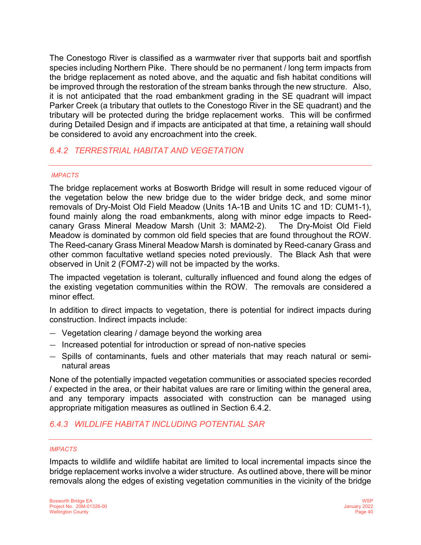The Conestogo River is classified as a warmwater river that supports bait and sportfish species including Northern Pike. There should be no permanent / long term impacts from the bridge replacement as noted above, and the aquatic and fish habitat conditions will be improved through the restoration of the stream banks through the new structure. Also, it is not anticipated that the road embankment grading in the SE quadrant will impact Parker Creek (a tributary that outlets to the Conestogo River in the SE quadrant) and the tributary will be protected during the bridge replacement works. This will be confirmed during Detailed Design and if impacts are anticipated at that time, a retaining wall should be considered to avoid any encroachment into the creek.

#### <span id="page-45-0"></span>*6.4.2 TERRESTRIAL HABITAT AND VEGETATION*

#### *IMPACTS*

The bridge replacement works at Bosworth Bridge will result in some reduced vigour of the vegetation below the new bridge due to the wider bridge deck, and some minor removals of Dry-Moist Old Field Meadow (Units 1A-1B and Units 1C and 1D: CUM1-1), found mainly along the road embankments, along with minor edge impacts to Reedcanary Grass Mineral Meadow Marsh (Unit 3: MAM2-2). The Dry-Moist Old Field Meadow is dominated by common old field species that are found throughout the ROW. The Reed-canary Grass Mineral Meadow Marsh is dominated by Reed-canary Grass and other common facultative wetland species noted previously. The Black Ash that were observed in Unit 2 (FOM7-2) will not be impacted by the works.

The impacted vegetation is tolerant, culturally influenced and found along the edges of the existing vegetation communities within the ROW. The removals are considered a minor effect.

In addition to direct impacts to vegetation, there is potential for indirect impacts during construction. Indirect impacts include:

- Vegetation clearing / damage beyond the working area
- Increased potential for introduction or spread of non-native species
- Spills of contaminants, fuels and other materials that may reach natural or seminatural areas

None of the potentially impacted vegetation communities or associated species recorded / expected in the area, or their habitat values are rare or limiting within the general area, and any temporary impacts associated with construction can be managed using appropriate mitigation measures as outlined in Section 6.4.2.

#### <span id="page-45-1"></span>*6.4.3 WILDLIFE HABITAT INCLUDING POTENTIAL SAR*

#### *IMPACTS*

Impacts to wildlife and wildlife habitat are limited to local incremental impacts since the bridge replacement works involve a wider structure. As outlined above, there will be minor removals along the edges of existing vegetation communities in the vicinity of the bridge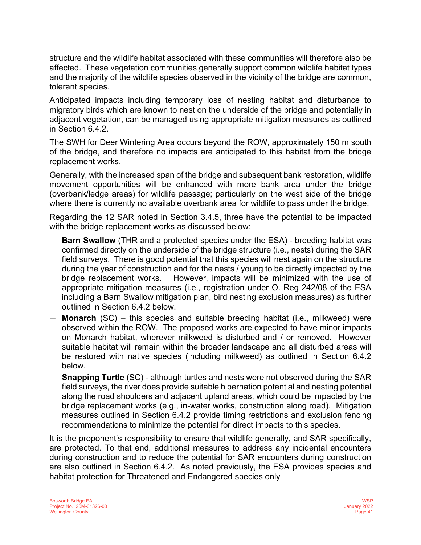structure and the wildlife habitat associated with these communities will therefore also be affected. These vegetation communities generally support common wildlife habitat types and the majority of the wildlife species observed in the vicinity of the bridge are common, tolerant species.

Anticipated impacts including temporary loss of nesting habitat and disturbance to migratory birds which are known to nest on the underside of the bridge and potentially in adjacent vegetation, can be managed using appropriate mitigation measures as outlined in Section 6.4.2.

The SWH for Deer Wintering Area occurs beyond the ROW, approximately 150 m south of the bridge, and therefore no impacts are anticipated to this habitat from the bridge replacement works.

Generally, with the increased span of the bridge and subsequent bank restoration, wildlife movement opportunities will be enhanced with more bank area under the bridge (overbank/ledge areas) for wildlife passage; particularly on the west side of the bridge where there is currently no available overbank area for wildlife to pass under the bridge.

Regarding the 12 SAR noted in Section 3.4.5, three have the potential to be impacted with the bridge replacement works as discussed below:

- **Barn Swallow** (THR and a protected species under the ESA) breeding habitat was confirmed directly on the underside of the bridge structure (i.e., nests) during the SAR field surveys. There is good potential that this species will nest again on the structure during the year of construction and for the nests / young to be directly impacted by the bridge replacement works. However, impacts will be minimized with the use of appropriate mitigation measures (i.e., registration under O. Reg 242/08 of the ESA including a Barn Swallow mitigation plan, bird nesting exclusion measures) as further outlined in Section 6.4.2 below.
- **Monarch** (SC) this species and suitable breeding habitat (i.e., milkweed) were observed within the ROW. The proposed works are expected to have minor impacts on Monarch habitat, wherever milkweed is disturbed and / or removed. However suitable habitat will remain within the broader landscape and all disturbed areas will be restored with native species (including milkweed) as outlined in Section 6.4.2 below.
- **Snapping Turtle** (SC) although turtles and nests were not observed during the SAR field surveys, the river does provide suitable hibernation potential and nesting potential along the road shoulders and adjacent upland areas, which could be impacted by the bridge replacement works (e.g., in-water works, construction along road). Mitigation measures outlined in Section 6.4.2 provide timing restrictions and exclusion fencing recommendations to minimize the potential for direct impacts to this species.

It is the proponent's responsibility to ensure that wildlife generally, and SAR specifically, are protected. To that end, additional measures to address any incidental encounters during construction and to reduce the potential for SAR encounters during construction are also outlined in Section 6.4.2. As noted previously, the ESA provides species and habitat protection for Threatened and Endangered species only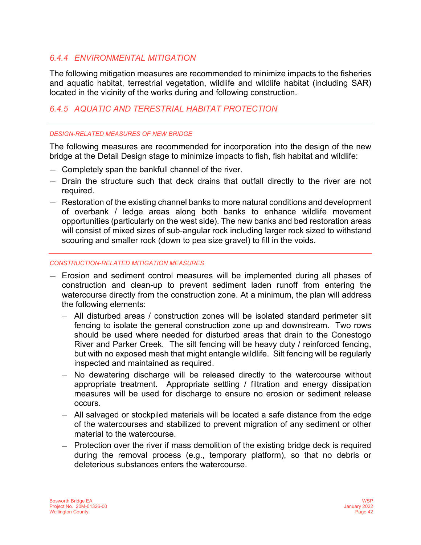#### <span id="page-47-0"></span>*6.4.4 ENVIRONMENTAL MITIGATION*

The following mitigation measures are recommended to minimize impacts to the fisheries and aquatic habitat, terrestrial vegetation, wildlife and wildlife habitat (including SAR) located in the vicinity of the works during and following construction.

#### <span id="page-47-1"></span>*6.4.5 AQUATIC AND TERESTRIAL HABITAT PROTECTION*

#### *DESIGN-RELATED MEASURES OF NEW BRIDGE*

The following measures are recommended for incorporation into the design of the new bridge at the Detail Design stage to minimize impacts to fish, fish habitat and wildlife:

- Completely span the bankfull channel of the river.
- Drain the structure such that deck drains that outfall directly to the river are not required.
- Restoration of the existing channel banks to more natural conditions and development of overbank / ledge areas along both banks to enhance wildlife movement opportunities (particularly on the west side). The new banks and bed restoration areas will consist of mixed sizes of sub-angular rock including larger rock sized to withstand scouring and smaller rock (down to pea size gravel) to fill in the voids.

#### *CONSTRUCTION-RELATED MITIGATION MEASURES*

- Erosion and sediment control measures will be implemented during all phases of construction and clean-up to prevent sediment laden runoff from entering the watercourse directly from the construction zone. At a minimum, the plan will address the following elements:
	- All disturbed areas / construction zones will be isolated standard perimeter silt fencing to isolate the general construction zone up and downstream. Two rows should be used where needed for disturbed areas that drain to the Conestogo River and Parker Creek. The silt fencing will be heavy duty / reinforced fencing, but with no exposed mesh that might entangle wildlife. Silt fencing will be regularly inspected and maintained as required.
	- No dewatering discharge will be released directly to the watercourse without appropriate treatment. Appropriate settling / filtration and energy dissipation measures will be used for discharge to ensure no erosion or sediment release occurs.
	- All salvaged or stockpiled materials will be located a safe distance from the edge of the watercourses and stabilized to prevent migration of any sediment or other material to the watercourse.
	- Protection over the river if mass demolition of the existing bridge deck is required during the removal process (e.g., temporary platform), so that no debris or deleterious substances enters the watercourse.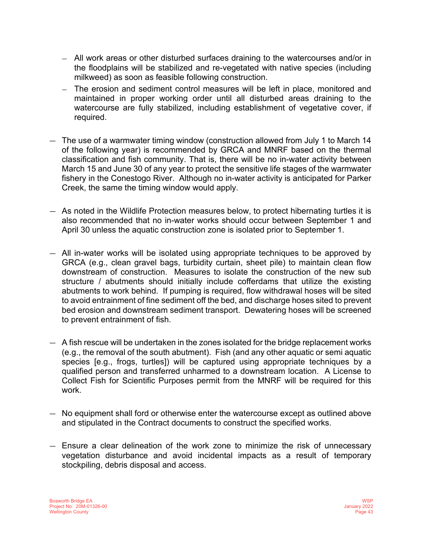- All work areas or other disturbed surfaces draining to the watercourses and/or in the floodplains will be stabilized and re-vegetated with native species (including milkweed) as soon as feasible following construction.
- The erosion and sediment control measures will be left in place, monitored and maintained in proper working order until all disturbed areas draining to the watercourse are fully stabilized, including establishment of vegetative cover, if required.
- The use of a warmwater timing window (construction allowed from July 1 to March 14 of the following year) is recommended by GRCA and MNRF based on the thermal classification and fish community. That is, there will be no in-water activity between March 15 and June 30 of any year to protect the sensitive life stages of the warmwater fishery in the Conestogo River. Although no in-water activity is anticipated for Parker Creek, the same the timing window would apply.
- As noted in the Wildlife Protection measures below, to protect hibernating turtles it is also recommended that no in-water works should occur between September 1 and April 30 unless the aquatic construction zone is isolated prior to September 1.
- All in-water works will be isolated using appropriate techniques to be approved by GRCA (e.g., clean gravel bags, turbidity curtain, sheet pile) to maintain clean flow downstream of construction. Measures to isolate the construction of the new sub structure / abutments should initially include cofferdams that utilize the existing abutments to work behind. If pumping is required, flow withdrawal hoses will be sited to avoid entrainment of fine sediment off the bed, and discharge hoses sited to prevent bed erosion and downstream sediment transport. Dewatering hoses will be screened to prevent entrainment of fish.
- A fish rescue will be undertaken in the zones isolated for the bridge replacement works (e.g., the removal of the south abutment). Fish (and any other aquatic or semi aquatic species [e.g., frogs, turtles]) will be captured using appropriate techniques by a qualified person and transferred unharmed to a downstream location. A License to Collect Fish for Scientific Purposes permit from the MNRF will be required for this work.
- No equipment shall ford or otherwise enter the watercourse except as outlined above and stipulated in the Contract documents to construct the specified works.
- Ensure a clear delineation of the work zone to minimize the risk of unnecessary vegetation disturbance and avoid incidental impacts as a result of temporary stockpiling, debris disposal and access.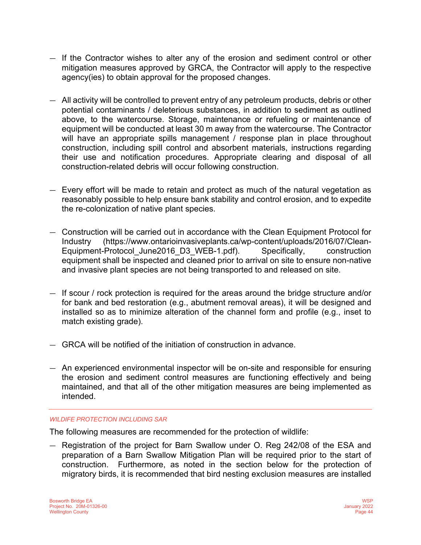- If the Contractor wishes to alter any of the erosion and sediment control or other mitigation measures approved by GRCA, the Contractor will apply to the respective agency(ies) to obtain approval for the proposed changes.
- All activity will be controlled to prevent entry of any petroleum products, debris or other potential contaminants / deleterious substances, in addition to sediment as outlined above, to the watercourse. Storage, maintenance or refueling or maintenance of equipment will be conducted at least 30 m away from the watercourse. The Contractor will have an appropriate spills management / response plan in place throughout construction, including spill control and absorbent materials, instructions regarding their use and notification procedures. Appropriate clearing and disposal of all construction-related debris will occur following construction.
- Every effort will be made to retain and protect as much of the natural vegetation as reasonably possible to help ensure bank stability and control erosion, and to expedite the re-colonization of native plant species.
- Construction will be carried out in accordance with the Clean Equipment Protocol for Industry [\(https://www.ontarioinvasiveplants.ca/wp-content/uploads/2016/07/Clean-](https://www.ontarioinvasiveplants.ca/wp-content/uploads/2016/07/Clean-Equipment-Protocol_June2016_D3_WEB-1.pdf)Equipment-Protocol June2016 D3 WEB-1.pdf). Specifically, construction equipment shall be inspected and cleaned prior to arrival on site to ensure non-native and invasive plant species are not being transported to and released on site.
- If scour / rock protection is required for the areas around the bridge structure and/or for bank and bed restoration (e.g., abutment removal areas), it will be designed and installed so as to minimize alteration of the channel form and profile (e.g., inset to match existing grade).
- GRCA will be notified of the initiation of construction in advance.
- An experienced environmental inspector will be on-site and responsible for ensuring the erosion and sediment control measures are functioning effectively and being maintained, and that all of the other mitigation measures are being implemented as intended.

#### *WILDIFE PROTECTION INCLUDING SAR*

The following measures are recommended for the protection of wildlife:

— Registration of the project for Barn Swallow under O. Reg 242/08 of the ESA and preparation of a Barn Swallow Mitigation Plan will be required prior to the start of construction. Furthermore, as noted in the section below for the protection of migratory birds, it is recommended that bird nesting exclusion measures are installed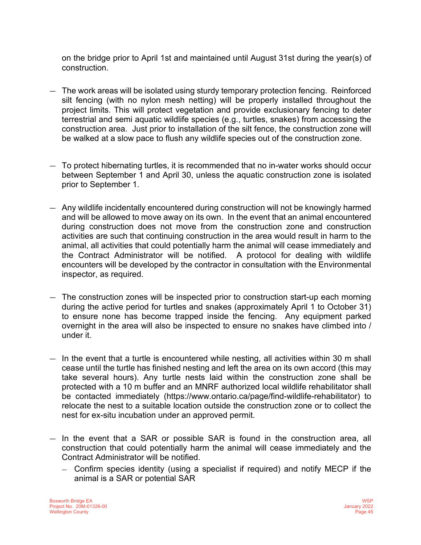on the bridge prior to April 1st and maintained until August 31st during the year(s) of construction.

- The work areas will be isolated using sturdy temporary protection fencing. Reinforced silt fencing (with no nylon mesh netting) will be properly installed throughout the project limits. This will protect vegetation and provide exclusionary fencing to deter terrestrial and semi aquatic wildlife species (e.g., turtles, snakes) from accessing the construction area. Just prior to installation of the silt fence, the construction zone will be walked at a slow pace to flush any wildlife species out of the construction zone.
- To protect hibernating turtles, it is recommended that no in-water works should occur between September 1 and April 30, unless the aquatic construction zone is isolated prior to September 1.
- Any wildlife incidentally encountered during construction will not be knowingly harmed and will be allowed to move away on its own. In the event that an animal encountered during construction does not move from the construction zone and construction activities are such that continuing construction in the area would result in harm to the animal, all activities that could potentially harm the animal will cease immediately and the Contract Administrator will be notified. A protocol for dealing with wildlife encounters will be developed by the contractor in consultation with the Environmental inspector, as required.
- The construction zones will be inspected prior to construction start-up each morning during the active period for turtles and snakes (approximately April 1 to October 31) to ensure none has become trapped inside the fencing. Any equipment parked overnight in the area will also be inspected to ensure no snakes have climbed into / under it.
- In the event that a turtle is encountered while nesting, all activities within 30 m shall cease until the turtle has finished nesting and left the area on its own accord (this may take several hours). Any turtle nests laid within the construction zone shall be protected with a 10 m buffer and an MNRF authorized local wildlife rehabilitator shall be contacted immediately [\(https://www.ontario.ca/page/find-wildlife-rehabilitator\)](https://www.ontario.ca/page/find-wildlife-rehabilitator) to relocate the nest to a suitable location outside the construction zone or to collect the nest for ex-situ incubation under an approved permit.
- In the event that a SAR or possible SAR is found in the construction area, all construction that could potentially harm the animal will cease immediately and the Contract Administrator will be notified.
	- Confirm species identity (using a specialist if required) and notify MECP if the animal is a SAR or potential SAR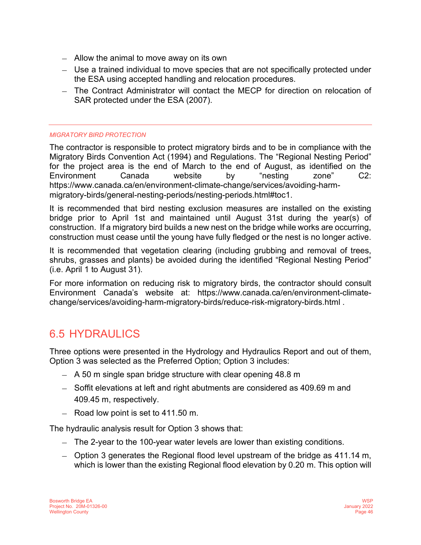- Allow the animal to move away on its own
- Use a trained individual to move species that are not specifically protected under the ESA using accepted handling and relocation procedures.
- The Contract Administrator will contact the MECP for direction on relocation of SAR protected under the ESA (2007).

#### *MIGRATORY BIRD PROTECTION*

The contractor is responsible to protect migratory birds and to be in compliance with the Migratory Birds Convention Act (1994) and Regulations. The "Regional Nesting Period" for the project area is the end of March to the end of August, as identified on the Environment Canada website by "nesting zone" C2: [https://www.canada.ca/en/environment-climate-change/services/avoiding-harm](https://www.canada.ca/en/environment-climate-change/services/avoiding-harm-migratory-birds/general-nesting-periods/nesting-periods.html#toc1)[migratory-birds/general-nesting-periods/nesting-periods.html#toc1.](https://www.canada.ca/en/environment-climate-change/services/avoiding-harm-migratory-birds/general-nesting-periods/nesting-periods.html#toc1)

It is recommended that bird nesting exclusion measures are installed on the existing bridge prior to April 1st and maintained until August 31st during the year(s) of construction. If a migratory bird builds a new nest on the bridge while works are occurring, construction must cease until the young have fully fledged or the nest is no longer active.

It is recommended that vegetation clearing (including grubbing and removal of trees, shrubs, grasses and plants) be avoided during the identified "Regional Nesting Period" (i.e. April 1 to August 31).

For more information on reducing risk to migratory birds, the contractor should consult Environment Canada's website at: [https://www.canada.ca/en/environment-climate](https://www.canada.ca/en/environment-climate-change/services/avoiding-harm-migratory-birds/reduce-risk-migratory-birds.html)[change/services/avoiding-harm-migratory-birds/reduce-risk-migratory-birds.html](https://www.canada.ca/en/environment-climate-change/services/avoiding-harm-migratory-birds/reduce-risk-migratory-birds.html) .

### <span id="page-51-0"></span>6.5 HYDRAULICS

Three options were presented in the Hydrology and Hydraulics Report and out of them, Option 3 was selected as the Preferred Option; Option 3 includes:

- A 50 m single span bridge structure with clear opening 48.8 m
- Soffit elevations at left and right abutments are considered as 409.69 m and 409.45 m, respectively.
- $-$  Road low point is set to 411.50 m.

The hydraulic analysis result for Option 3 shows that:

- The 2-year to the 100-year water levels are lower than existing conditions.
- Option 3 generates the Regional flood level upstream of the bridge as 411.14 m, which is lower than the existing Regional flood elevation by 0.20 m. This option will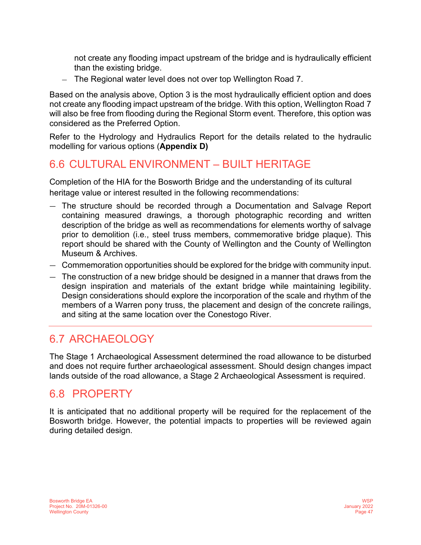not create any flooding impact upstream of the bridge and is hydraulically efficient than the existing bridge.

— The Regional water level does not over top Wellington Road 7.

Based on the analysis above, Option 3 is the most hydraulically efficient option and does not create any flooding impact upstream of the bridge. With this option, Wellington Road 7 will also be free from flooding during the Regional Storm event. Therefore, this option was considered as the Preferred Option.

Refer to the Hydrology and Hydraulics Report for the details related to the hydraulic modelling for various options (**Appendix D)**

### <span id="page-52-0"></span>6.6 CULTURAL ENVIRONMENT – BUILT HERITAGE

Completion of the HIA for the Bosworth Bridge and the understanding of its cultural heritage value or interest resulted in the following recommendations:

- The structure should be recorded through a Documentation and Salvage Report containing measured drawings, a thorough photographic recording and written description of the bridge as well as recommendations for elements worthy of salvage prior to demolition (i.e., steel truss members, commemorative bridge plaque). This report should be shared with the County of Wellington and the County of Wellington Museum & Archives.
- Commemoration opportunities should be explored for the bridge with community input.
- The construction of a new bridge should be designed in a manner that draws from the design inspiration and materials of the extant bridge while maintaining legibility. Design considerations should explore the incorporation of the scale and rhythm of the members of a Warren pony truss, the placement and design of the concrete railings, and siting at the same location over the Conestogo River.

### <span id="page-52-1"></span>6.7 ARCHAEOLOGY

<span id="page-52-2"></span>The Stage 1 Archaeological Assessment determined the road allowance to be disturbed and does not require further archaeological assessment. Should design changes impact lands outside of the road allowance, a Stage 2 Archaeological Assessment is required.

#### 6.8 PROPERTY

It is anticipated that no additional property will be required for the replacement of the Bosworth bridge. However, the potential impacts to properties will be reviewed again during detailed design.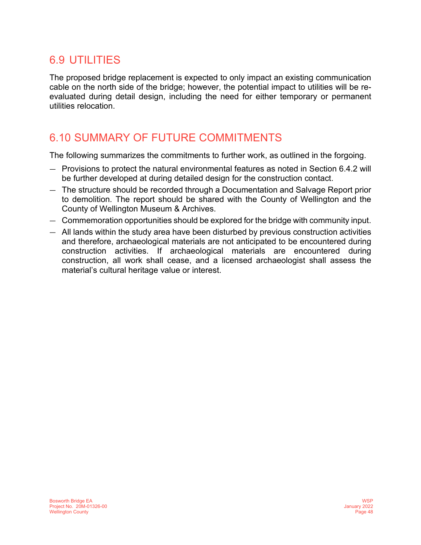### <span id="page-53-0"></span>6.9 UTILITIES

The proposed bridge replacement is expected to only impact an existing communication cable on the north side of the bridge; however, the potential impact to utilities will be reevaluated during detail design, including the need for either temporary or permanent utilities relocation.

### <span id="page-53-1"></span>6.10 SUMMARY OF FUTURE COMMITMENTS

The following summarizes the commitments to further work, as outlined in the forgoing.

- Provisions to protect the natural environmental features as noted in Section 6.4.2 will be further developed at during detailed design for the construction contact.
- The structure should be recorded through a Documentation and Salvage Report prior to demolition. The report should be shared with the County of Wellington and the County of Wellington Museum & Archives.
- Commemoration opportunities should be explored for the bridge with community input.
- All lands within the study area have been disturbed by previous construction activities and therefore, archaeological materials are not anticipated to be encountered during construction activities. If archaeological materials are encountered during construction, all work shall cease, and a licensed archaeologist shall assess the material's cultural heritage value or interest.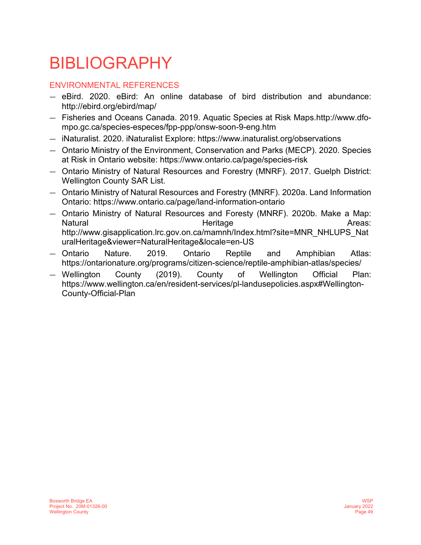# <span id="page-54-0"></span>BIBLIOGRAPHY

#### ENVIRONMENTAL REFERENCES

- eBird. 2020. eBird: An online database of bird distribution and abundance: <http://ebird.org/ebird/map/>
- Fisheries and Oceans Canada. 2019. Aquatic Species at Risk Maps[.http://www.dfo](http://www.dfo-mpo.gc.ca/species-especes/fpp-ppp/onsw-soon-9-eng.htm)[mpo.gc.ca/species-especes/fpp-ppp/onsw-soon-9-eng.htm](http://www.dfo-mpo.gc.ca/species-especes/fpp-ppp/onsw-soon-9-eng.htm)
- iNaturalist. 2020. iNaturalist Explore: https://www.inaturalist.org/observations
- Ontario Ministry of the Environment, Conservation and Parks (MECP). 2020. Species at Risk in Ontario website:<https://www.ontario.ca/page/species-risk>
- Ontario Ministry of Natural Resources and Forestry (MNRF). 2017. Guelph District: Wellington County SAR List.
- Ontario Ministry of Natural Resources and Forestry (MNRF). 2020a. Land Information Ontario: https://www.ontario.ca/page/land-information-ontario
- Ontario Ministry of Natural Resources and Foresty (MNRF). 2020b. Make a Map: Natural Heritage Areas: [http://www.gisapplication.lrc.gov.on.ca/mamnh/Index.html?site=MNR\\_NHLUPS\\_Nat](http://www.gisapplication.lrc.gov.on.ca/mamnh/Index.html?site=MNR_NHLUPS_NaturalHeritage&viewer=NaturalHeritage&locale=en-US) [uralHeritage&viewer=NaturalHeritage&locale=en-US](http://www.gisapplication.lrc.gov.on.ca/mamnh/Index.html?site=MNR_NHLUPS_NaturalHeritage&viewer=NaturalHeritage&locale=en-US)
- Ontario Nature. 2019. Ontario Reptile and Amphibian Atlas: <https://ontarionature.org/programs/citizen-science/reptile-amphibian-atlas/species/>
- Wellington County (2019). County of Wellington Official Plan: [https://www.wellington.ca/en/resident-services/pl-landusepolicies.aspx#Wellington-](https://www.wellington.ca/en/resident-services/pl-landusepolicies.aspx#Wellington-County-Official-Plan)[County-Official-Plan](https://www.wellington.ca/en/resident-services/pl-landusepolicies.aspx#Wellington-County-Official-Plan)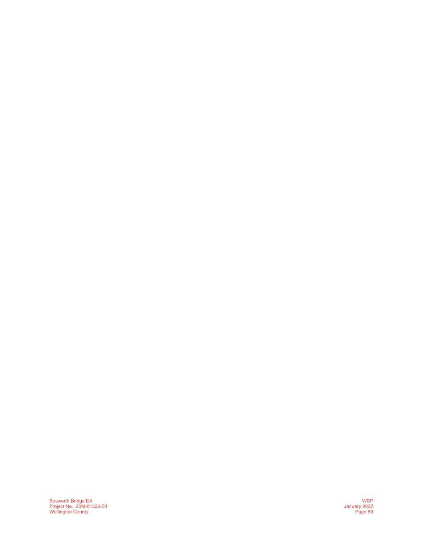Bosworth Bridge EA Project No. 20M -01326 -00 Wellington County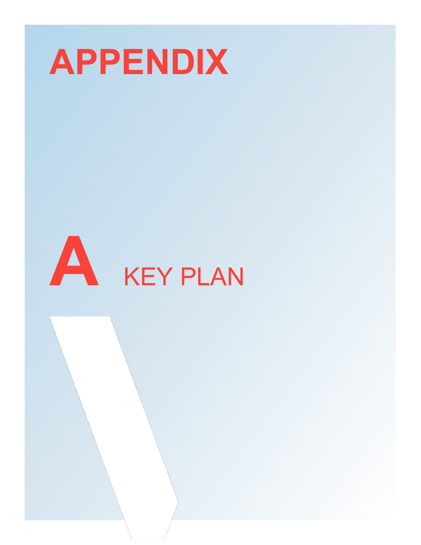

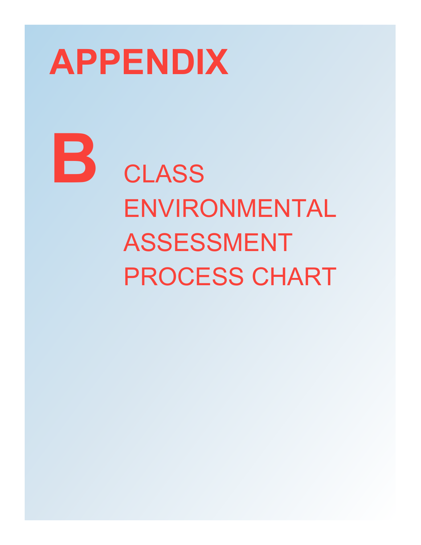# **B** CLASS ENVIRONMENTAL ASSESSMENT PROCESS CHART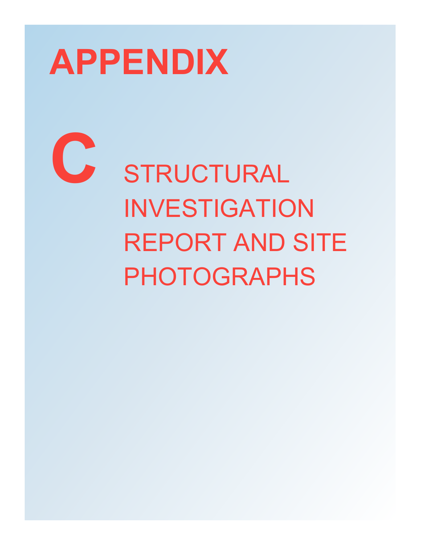C STRUCTURAL INVESTIGATION REPORT AND SITE PHOTOGRAPHS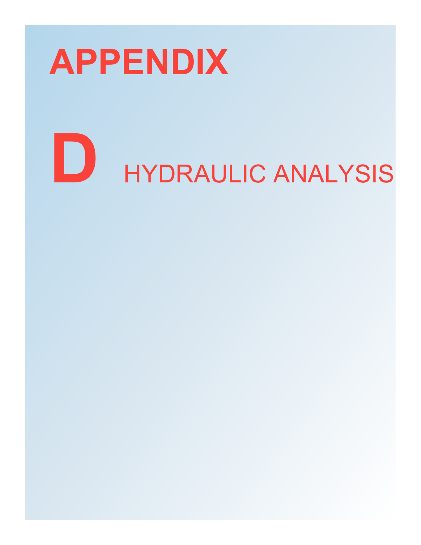# **D** HYDRAULIC ANALYSIS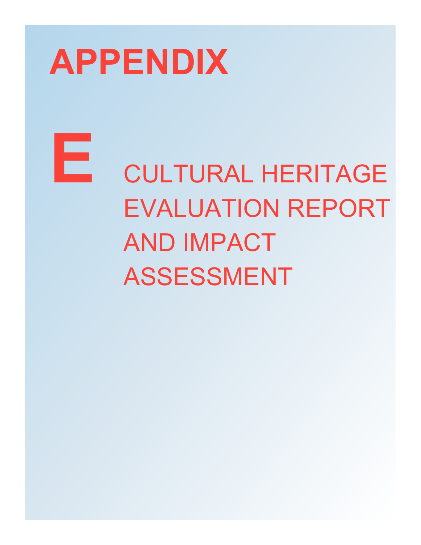**E** CULTURAL HERITAGE EVALUATION REPORT AND IMPACT ASSESSMENT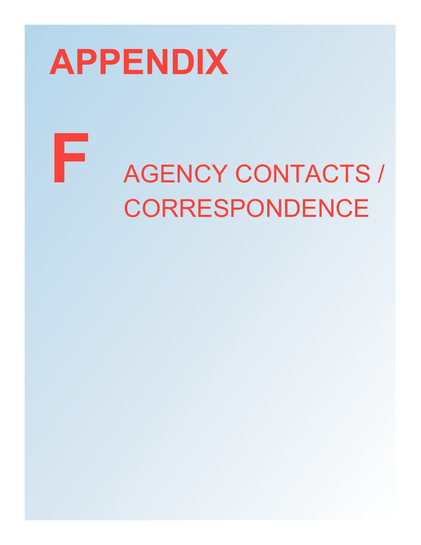# **F** AGENCY CONTACTS / **CORRESPONDENCE**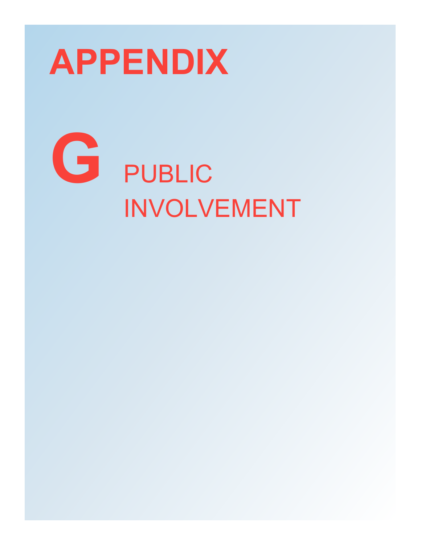# **G** PUBLIC INVOLVEMENT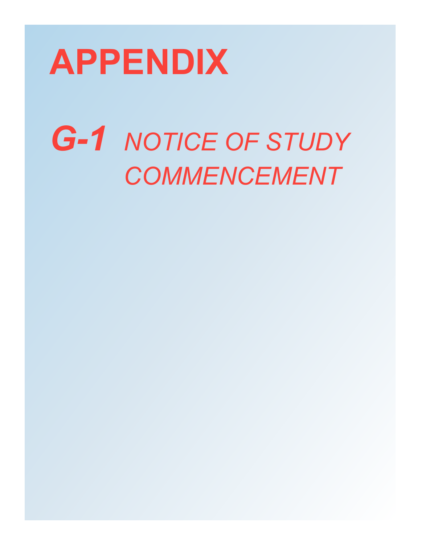# *G-1 NOTICE OF STUDY COMMENCEMENT*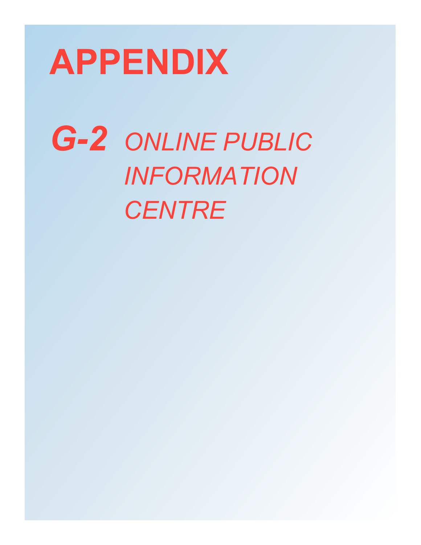# *G-2 ONLINE PUBLIC INFORMATION CENTRE*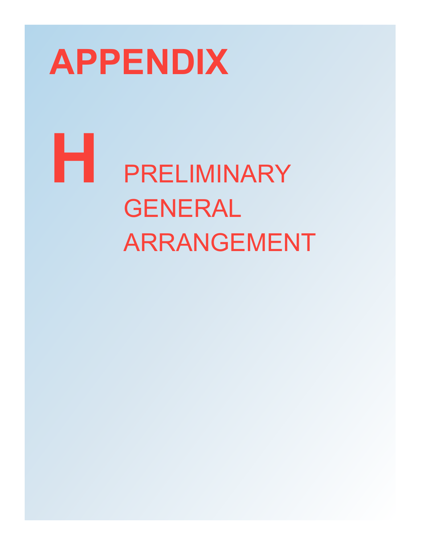# **H** PRELIMINARY GENERAL ARRANGEMENT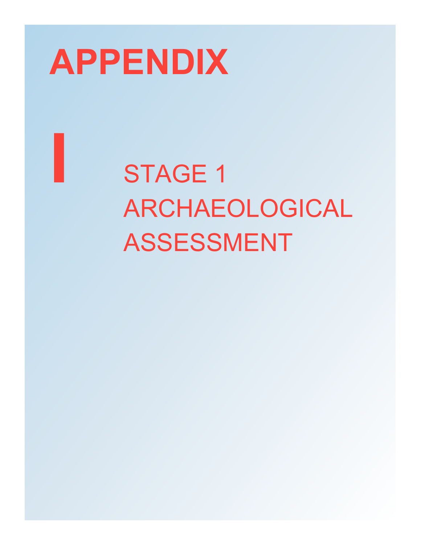**STAGE 1** ARCHAEOLOGICAL ASSESSMENT